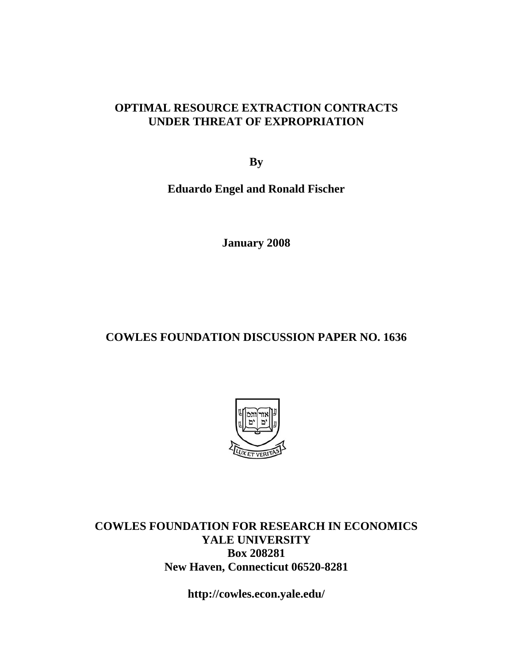## **OPTIMAL RESOURCE EXTRACTION CONTRACTS UNDER THREAT OF EXPROPRIATION**

**By** 

**Eduardo Engel and Ronald Fischer** 

**January 2008** 

## **COWLES FOUNDATION DISCUSSION PAPER NO. 1636**



**COWLES FOUNDATION FOR RESEARCH IN ECONOMICS YALE UNIVERSITY Box 208281 New Haven, Connecticut 06520-8281** 

**http://cowles.econ.yale.edu/**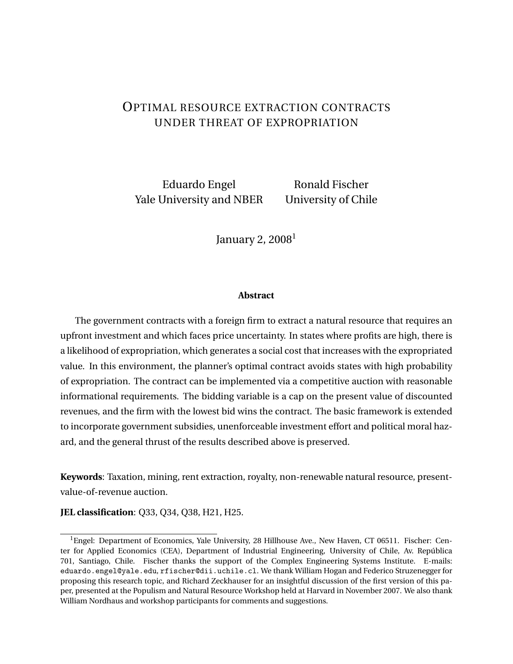## OPTIMAL RESOURCE EXTRACTION CONTRACTS UNDER THREAT OF EXPROPRIATION

Eduardo Engel Ronald Fischer Yale University and NBER University of Chile

January 2,  $2008<sup>1</sup>$ 

#### **Abstract**

The government contracts with a foreign firm to extract a natural resource that requires an upfront investment and which faces price uncertainty. In states where profits are high, there is a likelihood of expropriation, which generates a social cost that increases with the expropriated value. In this environment, the planner's optimal contract avoids states with high probability of expropriation. The contract can be implemented via a competitive auction with reasonable informational requirements. The bidding variable is a cap on the present value of discounted revenues, and the firm with the lowest bid wins the contract. The basic framework is extended to incorporate government subsidies, unenforceable investment effort and political moral hazard, and the general thrust of the results described above is preserved.

**Keywords**: Taxation, mining, rent extraction, royalty, non-renewable natural resource, presentvalue-of-revenue auction.

**JEL classification**: Q33, Q34, Q38, H21, H25.

<sup>&</sup>lt;sup>1</sup>Engel: Department of Economics, Yale University, 28 Hillhouse Ave., New Haven, CT 06511. Fischer: Center for Applied Economics (CEA), Department of Industrial Engineering, University of Chile, Av. República 701, Santiago, Chile. Fischer thanks the support of the Complex Engineering Systems Institute. E-mails: eduardo.engel@yale.edu, rfischer@dii.uchile.cl. We thank William Hogan and Federico Struzenegger for proposing this research topic, and Richard Zeckhauser for an insightful discussion of the first version of this paper, presented at the Populism and Natural Resource Workshop held at Harvard in November 2007. We also thank William Nordhaus and workshop participants for comments and suggestions.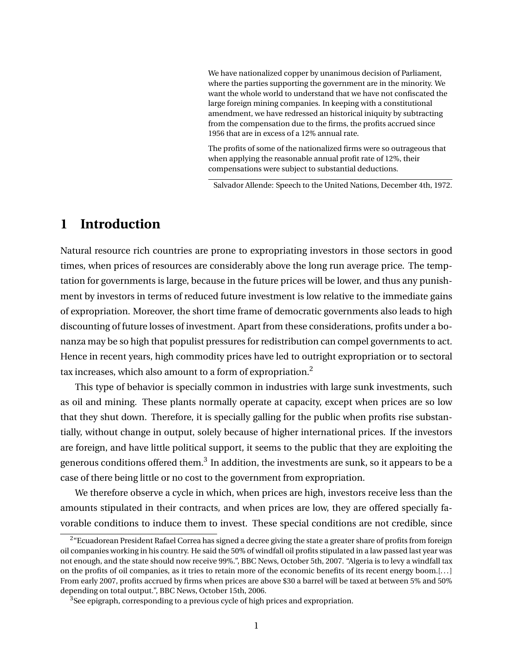We have nationalized copper by unanimous decision of Parliament, where the parties supporting the government are in the minority. We want the whole world to understand that we have not confiscated the large foreign mining companies. In keeping with a constitutional amendment, we have redressed an historical iniquity by subtracting from the compensation due to the firms, the profits accrued since 1956 that are in excess of a 12% annual rate.

The profits of some of the nationalized firms were so outrageous that when applying the reasonable annual profit rate of 12%, their compensations were subject to substantial deductions.

Salvador Allende: Speech to the United Nations, December 4th, 1972.

## **1 Introduction**

Natural resource rich countries are prone to expropriating investors in those sectors in good times, when prices of resources are considerably above the long run average price. The temptation for governments is large, because in the future prices will be lower, and thus any punishment by investors in terms of reduced future investment is low relative to the immediate gains of expropriation. Moreover, the short time frame of democratic governments also leads to high discounting of future losses of investment. Apart from these considerations, profits under a bonanza may be so high that populist pressures for redistribution can compel governments to act. Hence in recent years, high commodity prices have led to outright expropriation or to sectoral tax increases, which also amount to a form of expropriation.<sup>2</sup>

This type of behavior is specially common in industries with large sunk investments, such as oil and mining. These plants normally operate at capacity, except when prices are so low that they shut down. Therefore, it is specially galling for the public when profits rise substantially, without change in output, solely because of higher international prices. If the investors are foreign, and have little political support, it seems to the public that they are exploiting the generous conditions offered them. $^3$  In addition, the investments are sunk, so it appears to be a case of there being little or no cost to the government from expropriation.

We therefore observe a cycle in which, when prices are high, investors receive less than the amounts stipulated in their contracts, and when prices are low, they are offered specially favorable conditions to induce them to invest. These special conditions are not credible, since

 $^{2}$ "Ecuadorean President Rafael Correa has signed a decree giving the state a greater share of profits from foreign oil companies working in his country. He said the 50% of windfall oil profits stipulated in a law passed last year was not enough, and the state should now receive 99%.", BBC News, October 5th, 2007. "Algeria is to levy a windfall tax on the profits of oil companies, as it tries to retain more of the economic benefits of its recent energy boom.[. . . ] From early 2007, profits accrued by firms when prices are above \$30 a barrel will be taxed at between 5% and 50% depending on total output.", BBC News, October 15th, 2006.

<sup>&</sup>lt;sup>3</sup>See epigraph, corresponding to a previous cycle of high prices and expropriation.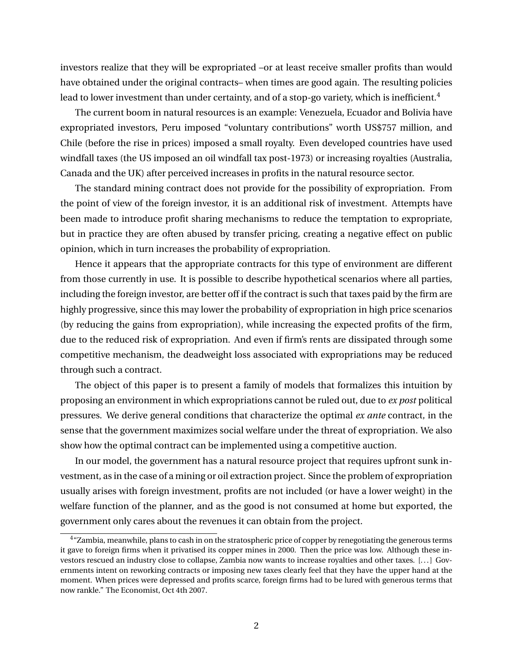investors realize that they will be expropriated –or at least receive smaller profits than would have obtained under the original contracts– when times are good again. The resulting policies lead to lower investment than under certainty, and of a stop-go variety, which is inefficient.<sup>4</sup>

The current boom in natural resources is an example: Venezuela, Ecuador and Bolivia have expropriated investors, Peru imposed "voluntary contributions" worth US\$757 million, and Chile (before the rise in prices) imposed a small royalty. Even developed countries have used windfall taxes (the US imposed an oil windfall tax post-1973) or increasing royalties (Australia, Canada and the UK) after perceived increases in profits in the natural resource sector.

The standard mining contract does not provide for the possibility of expropriation. From the point of view of the foreign investor, it is an additional risk of investment. Attempts have been made to introduce profit sharing mechanisms to reduce the temptation to expropriate, but in practice they are often abused by transfer pricing, creating a negative effect on public opinion, which in turn increases the probability of expropriation.

Hence it appears that the appropriate contracts for this type of environment are different from those currently in use. It is possible to describe hypothetical scenarios where all parties, including the foreign investor, are better off if the contract is such that taxes paid by the firm are highly progressive, since this may lower the probability of expropriation in high price scenarios (by reducing the gains from expropriation), while increasing the expected profits of the firm, due to the reduced risk of expropriation. And even if firm's rents are dissipated through some competitive mechanism, the deadweight loss associated with expropriations may be reduced through such a contract.

The object of this paper is to present a family of models that formalizes this intuition by proposing an environment in which expropriations cannot be ruled out, due to *ex post* political pressures. We derive general conditions that characterize the optimal *ex ante* contract, in the sense that the government maximizes social welfare under the threat of expropriation. We also show how the optimal contract can be implemented using a competitive auction.

In our model, the government has a natural resource project that requires upfront sunk investment, as in the case of a mining or oil extraction project. Since the problem of expropriation usually arises with foreign investment, profits are not included (or have a lower weight) in the welfare function of the planner, and as the good is not consumed at home but exported, the government only cares about the revenues it can obtain from the project.

<sup>&</sup>lt;sup>4</sup> "Zambia, meanwhile, plans to cash in on the stratospheric price of copper by renegotiating the generous terms it gave to foreign firms when it privatised its copper mines in 2000. Then the price was low. Although these investors rescued an industry close to collapse, Zambia now wants to increase royalties and other taxes. [. . . ] Governments intent on reworking contracts or imposing new taxes clearly feel that they have the upper hand at the moment. When prices were depressed and profits scarce, foreign firms had to be lured with generous terms that now rankle." The Economist, Oct 4th 2007.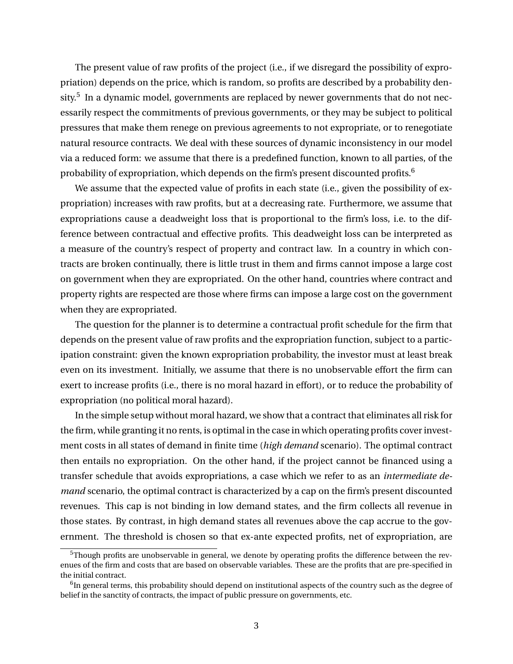The present value of raw profits of the project (i.e., if we disregard the possibility of expropriation) depends on the price, which is random, so profits are described by a probability density. $^5$  In a dynamic model, governments are replaced by newer governments that do not necessarily respect the commitments of previous governments, or they may be subject to political pressures that make them renege on previous agreements to not expropriate, or to renegotiate natural resource contracts. We deal with these sources of dynamic inconsistency in our model via a reduced form: we assume that there is a predefined function, known to all parties, of the probability of expropriation, which depends on the firm's present discounted profits.<sup>6</sup>

We assume that the expected value of profits in each state (i.e., given the possibility of expropriation) increases with raw profits, but at a decreasing rate. Furthermore, we assume that expropriations cause a deadweight loss that is proportional to the firm's loss, i.e. to the difference between contractual and effective profits. This deadweight loss can be interpreted as a measure of the country's respect of property and contract law. In a country in which contracts are broken continually, there is little trust in them and firms cannot impose a large cost on government when they are expropriated. On the other hand, countries where contract and property rights are respected are those where firms can impose a large cost on the government when they are expropriated.

The question for the planner is to determine a contractual profit schedule for the firm that depends on the present value of raw profits and the expropriation function, subject to a participation constraint: given the known expropriation probability, the investor must at least break even on its investment. Initially, we assume that there is no unobservable effort the firm can exert to increase profits (i.e., there is no moral hazard in effort), or to reduce the probability of expropriation (no political moral hazard).

In the simple setup without moral hazard, we show that a contract that eliminates all risk for the firm, while granting it no rents, is optimal in the case in which operating profits cover investment costs in all states of demand in finite time (*high demand* scenario). The optimal contract then entails no expropriation. On the other hand, if the project cannot be financed using a transfer schedule that avoids expropriations, a case which we refer to as an *intermediate demand* scenario, the optimal contract is characterized by a cap on the firm's present discounted revenues. This cap is not binding in low demand states, and the firm collects all revenue in those states. By contrast, in high demand states all revenues above the cap accrue to the government. The threshold is chosen so that ex-ante expected profits, net of expropriation, are

<sup>&</sup>lt;sup>5</sup>Though profits are unobservable in general, we denote by operating profits the difference between the revenues of the firm and costs that are based on observable variables. These are the profits that are pre-specified in the initial contract.

 $^6$ In general terms, this probability should depend on institutional aspects of the country such as the degree of belief in the sanctity of contracts, the impact of public pressure on governments, etc.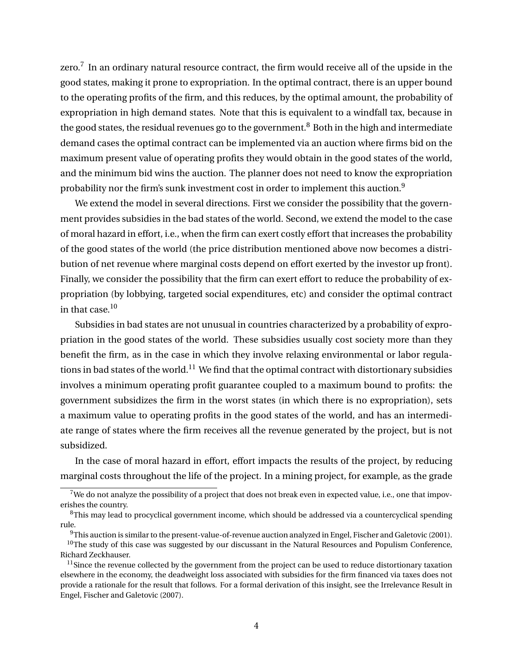zero. $^7\,$  In an ordinary natural resource contract, the firm would receive all of the upside in the good states, making it prone to expropriation. In the optimal contract, there is an upper bound to the operating profits of the firm, and this reduces, by the optimal amount, the probability of expropriation in high demand states. Note that this is equivalent to a windfall tax, because in the good states, the residual revenues go to the government.<sup>8</sup> Both in the high and intermediate demand cases the optimal contract can be implemented via an auction where firms bid on the maximum present value of operating profits they would obtain in the good states of the world, and the minimum bid wins the auction. The planner does not need to know the expropriation probability nor the firm's sunk investment cost in order to implement this auction.<sup>9</sup>

We extend the model in several directions. First we consider the possibility that the government provides subsidies in the bad states of the world. Second, we extend the model to the case of moral hazard in effort, i.e., when the firm can exert costly effort that increases the probability of the good states of the world (the price distribution mentioned above now becomes a distribution of net revenue where marginal costs depend on effort exerted by the investor up front). Finally, we consider the possibility that the firm can exert effort to reduce the probability of expropriation (by lobbying, targeted social expenditures, etc) and consider the optimal contract in that case.<sup>10</sup>

Subsidies in bad states are not unusual in countries characterized by a probability of expropriation in the good states of the world. These subsidies usually cost society more than they benefit the firm, as in the case in which they involve relaxing environmental or labor regulations in bad states of the world.<sup>11</sup> We find that the optimal contract with distortionary subsidies involves a minimum operating profit guarantee coupled to a maximum bound to profits: the government subsidizes the firm in the worst states (in which there is no expropriation), sets a maximum value to operating profits in the good states of the world, and has an intermediate range of states where the firm receives all the revenue generated by the project, but is not subsidized.

In the case of moral hazard in effort, effort impacts the results of the project, by reducing marginal costs throughout the life of the project. In a mining project, for example, as the grade

<sup>&</sup>lt;sup>7</sup>We do not analyze the possibility of a project that does not break even in expected value, i.e., one that impoverishes the country.

<sup>&</sup>lt;sup>8</sup>This may lead to procyclical government income, which should be addressed via a countercyclical spending rule.

 $9$ This auction is similar to the present-value-of-revenue auction analyzed in Engel, Fischer and Galetovic (2001).

<sup>&</sup>lt;sup>10</sup>The study of this case was suggested by our discussant in the Natural Resources and Populism Conference, Richard Zeckhauser.

 $11$ Since the revenue collected by the government from the project can be used to reduce distortionary taxation elsewhere in the economy, the deadweight loss associated with subsidies for the firm financed via taxes does not provide a rationale for the result that follows. For a formal derivation of this insight, see the Irrelevance Result in Engel, Fischer and Galetovic (2007).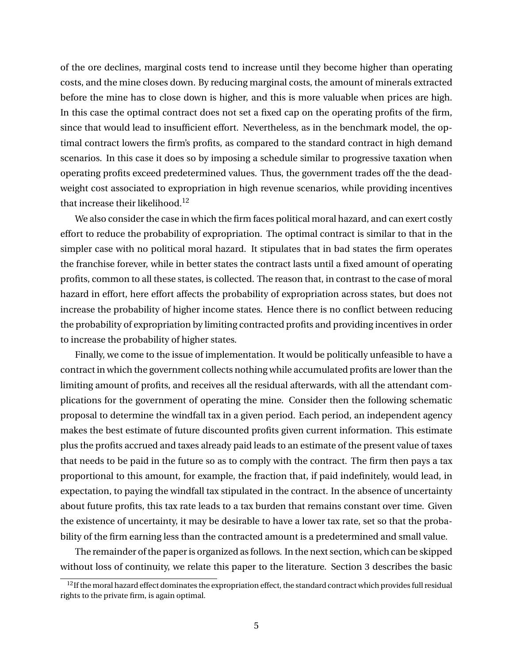of the ore declines, marginal costs tend to increase until they become higher than operating costs, and the mine closes down. By reducing marginal costs, the amount of minerals extracted before the mine has to close down is higher, and this is more valuable when prices are high. In this case the optimal contract does not set a fixed cap on the operating profits of the firm, since that would lead to insufficient effort. Nevertheless, as in the benchmark model, the optimal contract lowers the firm's profits, as compared to the standard contract in high demand scenarios. In this case it does so by imposing a schedule similar to progressive taxation when operating profits exceed predetermined values. Thus, the government trades off the the deadweight cost associated to expropriation in high revenue scenarios, while providing incentives that increase their likelihood.<sup>12</sup>

We also consider the case in which the firm faces political moral hazard, and can exert costly effort to reduce the probability of expropriation. The optimal contract is similar to that in the simpler case with no political moral hazard. It stipulates that in bad states the firm operates the franchise forever, while in better states the contract lasts until a fixed amount of operating profits, common to all these states, is collected. The reason that, in contrast to the case of moral hazard in effort, here effort affects the probability of expropriation across states, but does not increase the probability of higher income states. Hence there is no conflict between reducing the probability of expropriation by limiting contracted profits and providing incentives in order to increase the probability of higher states.

Finally, we come to the issue of implementation. It would be politically unfeasible to have a contract in which the government collects nothing while accumulated profits are lower than the limiting amount of profits, and receives all the residual afterwards, with all the attendant complications for the government of operating the mine. Consider then the following schematic proposal to determine the windfall tax in a given period. Each period, an independent agency makes the best estimate of future discounted profits given current information. This estimate plus the profits accrued and taxes already paid leads to an estimate of the present value of taxes that needs to be paid in the future so as to comply with the contract. The firm then pays a tax proportional to this amount, for example, the fraction that, if paid indefinitely, would lead, in expectation, to paying the windfall tax stipulated in the contract. In the absence of uncertainty about future profits, this tax rate leads to a tax burden that remains constant over time. Given the existence of uncertainty, it may be desirable to have a lower tax rate, set so that the probability of the firm earning less than the contracted amount is a predetermined and small value.

The remainder of the paper is organized as follows. In the next section, which can be skipped without loss of continuity, we relate this paper to the literature. Section 3 describes the basic

 $^{12}$  If the moral hazard effect dominates the expropriation effect, the standard contract which provides full residual rights to the private firm, is again optimal.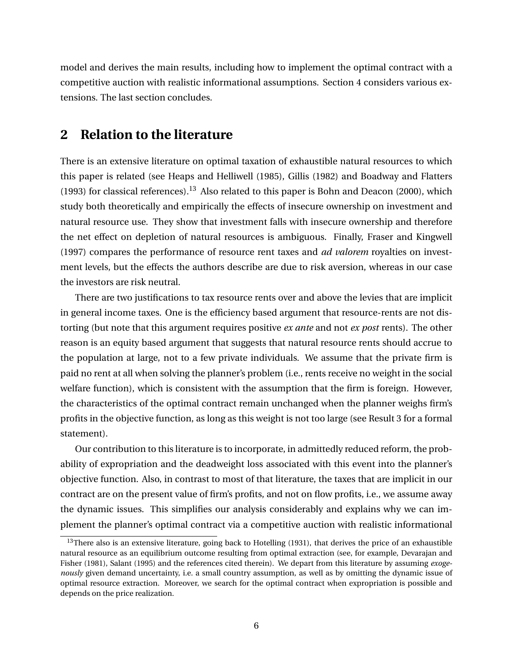model and derives the main results, including how to implement the optimal contract with a competitive auction with realistic informational assumptions. Section 4 considers various extensions. The last section concludes.

## **2 Relation to the literature**

There is an extensive literature on optimal taxation of exhaustible natural resources to which this paper is related (see Heaps and Helliwell (1985), Gillis (1982) and Boadway and Flatters (1993) for classical references).<sup>13</sup> Also related to this paper is Bohn and Deacon (2000), which study both theoretically and empirically the effects of insecure ownership on investment and natural resource use. They show that investment falls with insecure ownership and therefore the net effect on depletion of natural resources is ambiguous. Finally, Fraser and Kingwell (1997) compares the performance of resource rent taxes and *ad valorem* royalties on investment levels, but the effects the authors describe are due to risk aversion, whereas in our case the investors are risk neutral.

There are two justifications to tax resource rents over and above the levies that are implicit in general income taxes. One is the efficiency based argument that resource-rents are not distorting (but note that this argument requires positive *ex ante* and not *ex post* rents). The other reason is an equity based argument that suggests that natural resource rents should accrue to the population at large, not to a few private individuals. We assume that the private firm is paid no rent at all when solving the planner's problem (i.e., rents receive no weight in the social welfare function), which is consistent with the assumption that the firm is foreign. However, the characteristics of the optimal contract remain unchanged when the planner weighs firm's profits in the objective function, as long as this weight is not too large (see Result 3 for a formal statement).

Our contribution to this literature is to incorporate, in admittedly reduced reform, the probability of expropriation and the deadweight loss associated with this event into the planner's objective function. Also, in contrast to most of that literature, the taxes that are implicit in our contract are on the present value of firm's profits, and not on flow profits, i.e., we assume away the dynamic issues. This simplifies our analysis considerably and explains why we can implement the planner's optimal contract via a competitive auction with realistic informational

<sup>&</sup>lt;sup>13</sup>There also is an extensive literature, going back to Hotelling (1931), that derives the price of an exhaustible natural resource as an equilibrium outcome resulting from optimal extraction (see, for example, Devarajan and Fisher (1981), Salant (1995) and the references cited therein). We depart from this literature by assuming *exogenously* given demand uncertainty, i.e. a small country assumption, as well as by omitting the dynamic issue of optimal resource extraction. Moreover, we search for the optimal contract when expropriation is possible and depends on the price realization.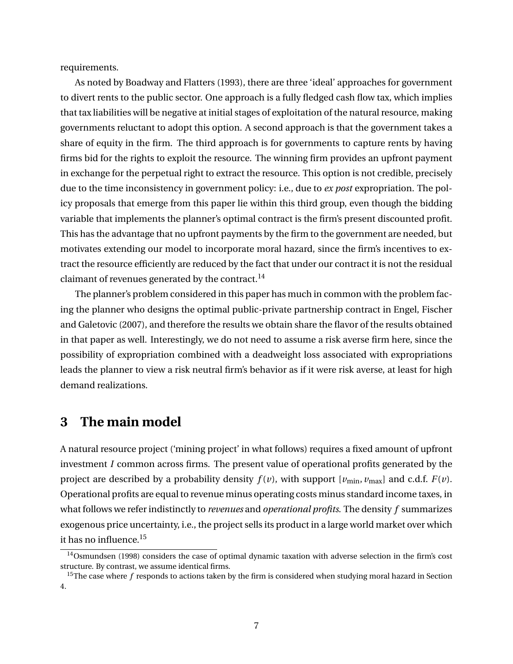requirements.

As noted by Boadway and Flatters (1993), there are three 'ideal' approaches for government to divert rents to the public sector. One approach is a fully fledged cash flow tax, which implies that tax liabilities will be negative at initial stages of exploitation of the natural resource, making governments reluctant to adopt this option. A second approach is that the government takes a share of equity in the firm. The third approach is for governments to capture rents by having firms bid for the rights to exploit the resource. The winning firm provides an upfront payment in exchange for the perpetual right to extract the resource. This option is not credible, precisely due to the time inconsistency in government policy: i.e., due to *ex post* expropriation. The policy proposals that emerge from this paper lie within this third group, even though the bidding variable that implements the planner's optimal contract is the firm's present discounted profit. This has the advantage that no upfront payments by the firm to the government are needed, but motivates extending our model to incorporate moral hazard, since the firm's incentives to extract the resource efficiently are reduced by the fact that under our contract it is not the residual claimant of revenues generated by the contract.<sup>14</sup>

The planner's problem considered in this paper has much in common with the problem facing the planner who designs the optimal public-private partnership contract in Engel, Fischer and Galetovic (2007), and therefore the results we obtain share the flavor of the results obtained in that paper as well. Interestingly, we do not need to assume a risk averse firm here, since the possibility of expropriation combined with a deadweight loss associated with expropriations leads the planner to view a risk neutral firm's behavior as if it were risk averse, at least for high demand realizations.

## **3 The main model**

A natural resource project ('mining project' in what follows) requires a fixed amount of upfront investment *I* common across firms. The present value of operational profits generated by the project are described by a probability density  $f(v)$ , with support  $[v_{\min}, v_{\max}]$  and c.d.f.  $F(v)$ . Operational profits are equal to revenue minus operating costs minus standard income taxes, in what follows we refer indistinctly to *revenues* and *operational profits*. The density *f* summarizes exogenous price uncertainty, i.e., the project sells its product in a large world market over which it has no influence.<sup>15</sup>

<sup>14</sup>Osmundsen (1998) considers the case of optimal dynamic taxation with adverse selection in the firm's cost structure. By contrast, we assume identical firms.

<sup>&</sup>lt;sup>15</sup>The case where *f* responds to actions taken by the firm is considered when studying moral hazard in Section 4.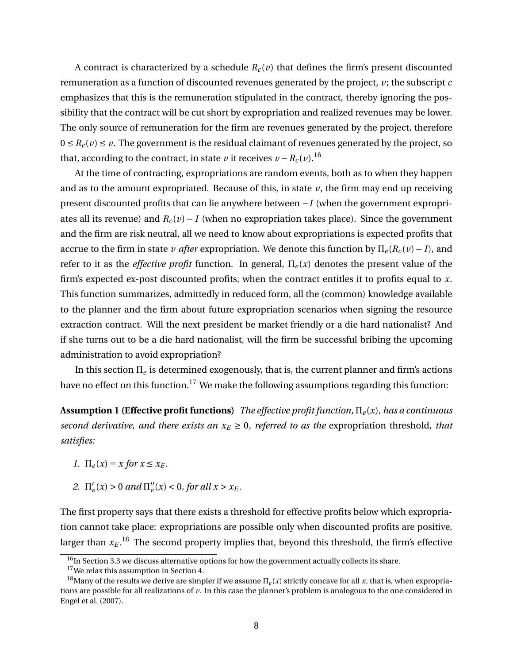A contract is characterized by a schedule  $R_c(v)$  that defines the firm's present discounted remuneration as a function of discounted revenues generated by the project, *v*; the subscript *c* emphasizes that this is the remuneration stipulated in the contract, thereby ignoring the possibility that the contract will be cut short by expropriation and realized revenues may be lower. The only source of remuneration for the firm are revenues generated by the project, therefore  $0 \le R_c(v) \le v$ . The government is the residual claimant of revenues generated by the project, so that, according to the contract, in state *v* it receives  $v - R_c(v)$ .<sup>16</sup>

At the time of contracting, expropriations are random events, both as to when they happen and as to the amount expropriated. Because of this, in state  $\nu$ , the firm may end up receiving present discounted profits that can lie anywhere between −*I* (when the government expropriates all its revenue) and  $R_c(v) - I$  (when no expropriation takes place). Since the government and the firm are risk neutral, all we need to know about expropriations is expected profits that accrue to the firm in state *v after* expropriation. We denote this function by  $\Pi_e(R_c(v) - I)$ , and refer to it as the *effective profit* function. In general,  $\Pi_e(x)$  denotes the present value of the firm's expected ex-post discounted profits, when the contract entitles it to profits equal to *x*. This function summarizes, admittedly in reduced form, all the (common) knowledge available to the planner and the firm about future expropriation scenarios when signing the resource extraction contract. Will the next president be market friendly or a die hard nationalist? And if she turns out to be a die hard nationalist, will the firm be successful bribing the upcoming administration to avoid expropriation?

In this section Π*<sup>e</sup>* is determined exogenously, that is, the current planner and firm's actions have no effect on this function.<sup>17</sup> We make the following assumptions regarding this function:

**Assumption 1 (Effective profit functions)** *The effective profit function,* Π*<sup>e</sup>* (*x*)*, has a continuous second derivative, and there exists an*  $x_E \geq 0$ *, referred to as the expropriation threshold, that satisfies:*

- *1.*  $\Pi_e(x) = x$  for  $x \le x_E$ .
- 2.  $\Pi'_{\ell}$  $e'_{e}(x) > 0$  and  $\Pi''_{e}$  $e''_e(x) < 0$ , for all  $x > x_E$ .

The first property says that there exists a threshold for effective profits below which expropriation cannot take place: expropriations are possible only when discounted profits are positive, larger than  $x_{E}.$   $^{18}$  The second property implies that, beyond this threshold, the firm's effective

<sup>&</sup>lt;sup>16</sup>In Section 3.3 we discuss alternative options for how the government actually collects its share.

<sup>&</sup>lt;sup>17</sup>We relax this assumption in Section 4.

<sup>&</sup>lt;sup>18</sup>Many of the results we derive are simpler if we assume  $\Pi_e(x)$  strictly concave for all x, that is, when expropriations are possible for all realizations of *v*. In this case the planner's problem is analogous to the one considered in Engel et al. (2007).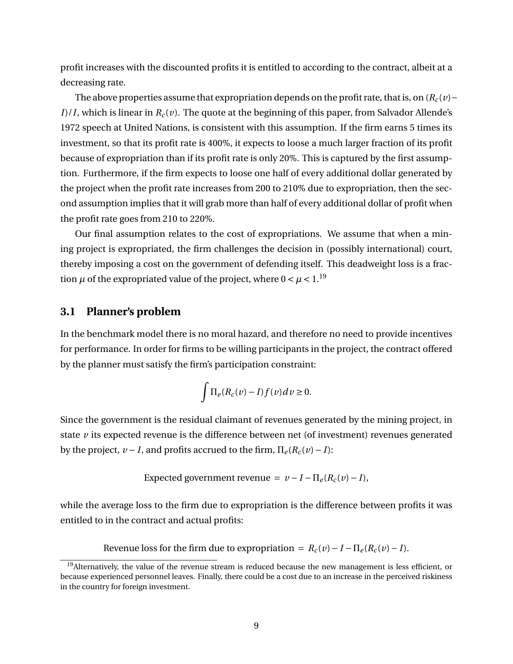profit increases with the discounted profits it is entitled to according to the contract, albeit at a decreasing rate.

The above properties assume that expropriation depends on the profit rate, that is, on  $(R_c(v)$ − *I*)/*I*, which is linear in  $R_c(v)$ . The quote at the beginning of this paper, from Salvador Allende's 1972 speech at United Nations, is consistent with this assumption. If the firm earns 5 times its investment, so that its profit rate is 400%, it expects to loose a much larger fraction of its profit because of expropriation than if its profit rate is only 20%. This is captured by the first assumption. Furthermore, if the firm expects to loose one half of every additional dollar generated by the project when the profit rate increases from 200 to 210% due to expropriation, then the second assumption implies that it will grab more than half of every additional dollar of profit when the profit rate goes from 210 to 220%.

Our final assumption relates to the cost of expropriations. We assume that when a mining project is expropriated, the firm challenges the decision in (possibly international) court, thereby imposing a cost on the government of defending itself. This deadweight loss is a fraction  $\mu$  of the expropriated value of the project, where  $0 < \mu < 1$ .<sup>19</sup>

### **3.1 Planner's problem**

In the benchmark model there is no moral hazard, and therefore no need to provide incentives for performance. In order for firms to be willing participants in the project, the contract offered by the planner must satisfy the firm's participation constraint:

$$
\int \Pi_e(R_c(v) - I) f(v) dv \ge 0.
$$

Since the government is the residual claimant of revenues generated by the mining project, in state  $\nu$  its expected revenue is the difference between net (of investment) revenues generated by the project,  $v - I$ , and profits accrued to the firm,  $\Pi_e(R_c(v) - I)$ :

Expected government revenue = 
$$
v - I - \Pi_e(R_c(v) - I)
$$
,

while the average loss to the firm due to expropriation is the difference between profits it was entitled to in the contract and actual profits:

Revenue loss for the firm due to expropriation =  $R_c(v) - I - \Pi_e(R_c(v) - I)$ .

<sup>&</sup>lt;sup>19</sup>Alternatively, the value of the revenue stream is reduced because the new management is less efficient, or because experienced personnel leaves. Finally, there could be a cost due to an increase in the perceived riskiness in the country for foreign investment.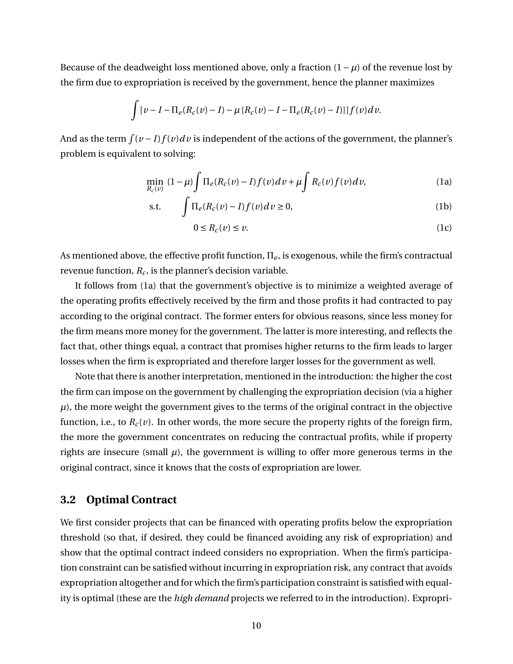Because of the deadweight loss mentioned above, only a fraction  $(1 - \mu)$  of the revenue lost by the firm due to expropriation is received by the government, hence the planner maximizes

$$
\int \left[ \nu - I - \Pi_e(R_c(\nu) - I) - \mu \{R_c(\nu) - I - \Pi_e(R_c(\nu) - I)\} \right] f(\nu) d\nu.
$$

And as the term  $\int (v - I) f(v) dv$  is independent of the actions of the government, the planner's problem is equivalent to solving:

$$
\min_{R_c(v)} (1 - \mu) \int \Pi_e(R_c(v) - I) f(v) dv + \mu \int R_c(v) f(v) dv,
$$
\n(1a)

$$
\text{s.t.} \qquad \int \Pi_e(R_c(v) - I) f(v) \, dv \ge 0,\tag{1b}
$$

$$
0 \le R_c(\nu) \le \nu. \tag{1c}
$$

As mentioned above, the effective profit function, Π<sub>e</sub>, is exogenous, while the firm's contractual revenue function,  $R_c$ , is the planner's decision variable.

It follows from (1a) that the government's objective is to minimize a weighted average of the operating profits effectively received by the firm and those profits it had contracted to pay according to the original contract. The former enters for obvious reasons, since less money for the firm means more money for the government. The latter is more interesting, and reflects the fact that, other things equal, a contract that promises higher returns to the firm leads to larger losses when the firm is expropriated and therefore larger losses for the government as well.

Note that there is another interpretation, mentioned in the introduction: the higher the cost the firm can impose on the government by challenging the expropriation decision (via a higher  $\mu$ ), the more weight the government gives to the terms of the original contract in the objective function, i.e., to  $R_c(v)$ . In other words, the more secure the property rights of the foreign firm, the more the government concentrates on reducing the contractual profits, while if property rights are insecure (small  $\mu$ ), the government is willing to offer more generous terms in the original contract, since it knows that the costs of expropriation are lower.

### **3.2 Optimal Contract**

We first consider projects that can be financed with operating profits below the expropriation threshold (so that, if desired, they could be financed avoiding any risk of expropriation) and show that the optimal contract indeed considers no expropriation. When the firm's participation constraint can be satisfied without incurring in expropriation risk, any contract that avoids expropriation altogether and for which the firm's participation constraint is satisfied with equality is optimal (these are the *high demand* projects we referred to in the introduction). Expropri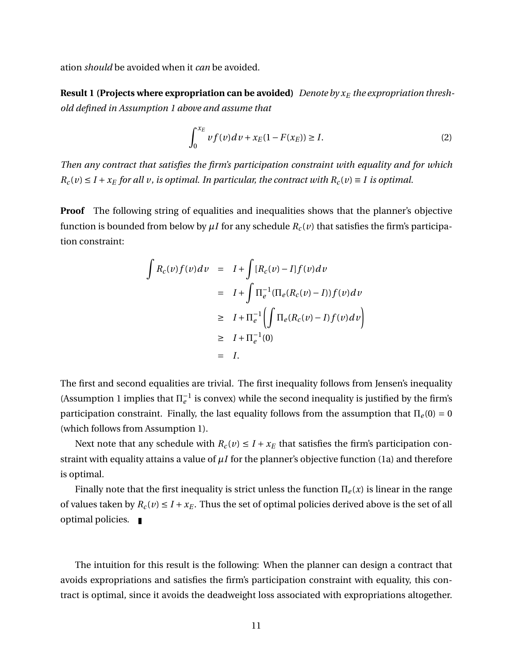ation *should* be avoided when it *can* be avoided.

**Result 1 (Projects where expropriation can be avoided)** *Denote by x<sup>E</sup> the expropriation threshold defined in Assumption 1 above and assume that*

$$
\int_0^{x_E} v f(v) dv + x_E(1 - F(x_E)) \ge I.
$$
 (2)

*Then any contract that satisfies the firm's participation constraint with equality and for which*  $R_c(v) \leq I + x_E$  *for all v, is optimal. In particular, the contract with*  $R_c(v) \equiv I$  *is optimal.* 

**Proof** The following string of equalities and inequalities shows that the planner's objective function is bounded from below by  $\mu I$  for any schedule  $R_c(v)$  that satisfies the firm's participation constraint:

$$
\int R_c(v) f(v) dv = I + \int [R_c(v) - I] f(v) dv
$$
  
\n
$$
= I + \int \Pi_e^{-1} (\Pi_e (R_c(v) - I)) f(v) dv
$$
  
\n
$$
\geq I + \Pi_e^{-1} \Biggl( \int \Pi_e (R_c(v) - I) f(v) dv \Biggr)
$$
  
\n
$$
\geq I + \Pi_e^{-1}(0)
$$
  
\n
$$
= I.
$$

The first and second equalities are trivial. The first inequality follows from Jensen's inequality (Assumption 1 implies that  $\Pi_e^{-1}$  is convex) while the second inequality is justified by the firm's participation constraint. Finally, the last equality follows from the assumption that  $\Pi_e(0) = 0$ (which follows from Assumption 1).

Next note that any schedule with  $R_c(v) \leq I + x_E$  that satisfies the firm's participation constraint with equality attains a value of  $\mu$ *I* for the planner's objective function (1a) and therefore is optimal.

Finally note that the first inequality is strict unless the function  $\Pi_e(x)$  is linear in the range of values taken by  $R_c(v) \leq I + x_E$ . Thus the set of optimal policies derived above is the set of all optimal policies.

The intuition for this result is the following: When the planner can design a contract that avoids expropriations and satisfies the firm's participation constraint with equality, this contract is optimal, since it avoids the deadweight loss associated with expropriations altogether.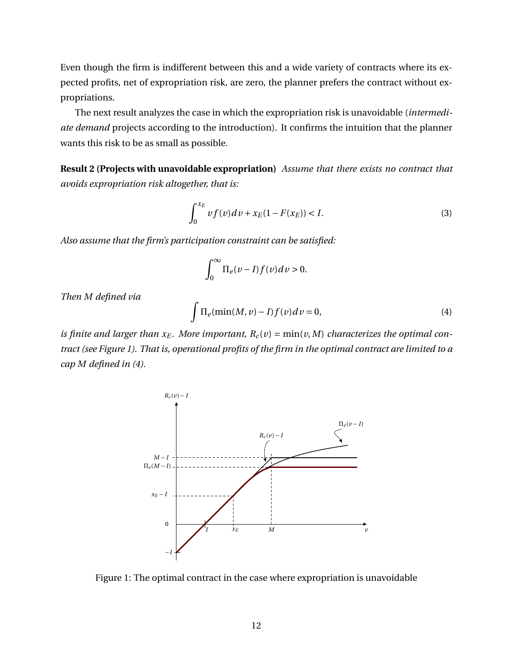Even though the firm is indifferent between this and a wide variety of contracts where its expected profits, net of expropriation risk, are zero, the planner prefers the contract without expropriations.

The next result analyzes the case in which the expropriation risk is unavoidable (*intermediate demand* projects according to the introduction). It confirms the intuition that the planner wants this risk to be as small as possible.

**Result 2 (Projects with unavoidable expropriation)** *Assume that there exists no contract that avoids expropriation risk altogether, that is:*

$$
\int_0^{x_E} v f(v) dv + x_E(1 - F(x_E)) < I. \tag{3}
$$

*Also assume that the firm's participation constraint can be satisfied:*

$$
\int_0^\infty \Pi_e(v-I)f(v)dv > 0.
$$

*Then M defined via*

$$
\int \Pi_e(\min(M,\nu) - I) f(\nu) d\nu = 0,
$$
\n(4)

is finite and larger than  $x_E$ . More important,  $R_c(v) = \min(v, M)$  characterizes the optimal con*tract (see Figure 1). That is, operational profits of the firm in the optimal contract are limited to a cap M defined in (4).*



Figure 1: The optimal contract in the case where expropriation is unavoidable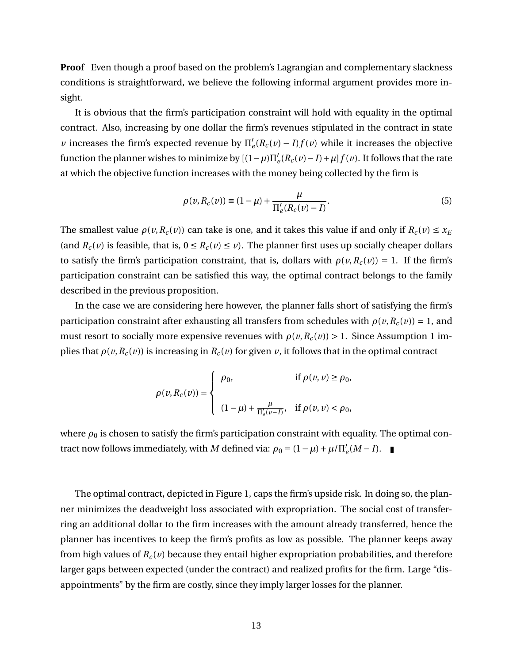**Proof** Even though a proof based on the problem's Lagrangian and complementary slackness conditions is straightforward, we believe the following informal argument provides more insight.

It is obvious that the firm's participation constraint will hold with equality in the optimal contract. Also, increasing by one dollar the firm's revenues stipulated in the contract in state *v* increases the firm's expected revenue by  $\Pi'$  $e^{i}$ <sub>*e*</sub>(*R*<sub>*c*</sub>(*v*) − *I*)*f*(*v*) while it increases the objective function the planner wishes to minimize by  $[(1 - \mu)\Pi]$  $e^{i}$ <sub>*e*</sub>(*R*<sub>*c*</sub>(*v*)−*I*)+ $\mu$ ]*f*(*v*). It follows that the rate at which the objective function increases with the money being collected by the firm is

$$
\rho(\nu, R_c(\nu)) \equiv (1 - \mu) + \frac{\mu}{\Pi'_e(R_c(\nu) - I)}.
$$
\n(5)

The smallest value  $\rho(v, R_c(v))$  can take is one, and it takes this value if and only if  $R_c(v) \le x_E$ (and  $R_c(v)$  is feasible, that is,  $0 \le R_c(v) \le v$ ). The planner first uses up socially cheaper dollars to satisfy the firm's participation constraint, that is, dollars with  $\rho(v, R_c(v)) = 1$ . If the firm's participation constraint can be satisfied this way, the optimal contract belongs to the family described in the previous proposition.

In the case we are considering here however, the planner falls short of satisfying the firm's participation constraint after exhausting all transfers from schedules with  $\rho(\nu, R_c(\nu)) = 1$ , and must resort to socially more expensive revenues with  $\rho(v, R_c(v)) > 1$ . Since Assumption 1 implies that  $\rho(v, R_c(v))$  is increasing in  $R_c(v)$  for given *v*, it follows that in the optimal contract

$$
\rho(v, R_c(v)) = \begin{cases} \rho_0, & \text{if } \rho(v, v) \ge \rho_0, \\ 0, & \text{if } \rho(v, v) \ge \rho_0, \\ 0, & \text{if } \rho(v, v) < \rho_0, \end{cases}
$$

where  $\rho_0$  is chosen to satisfy the firm's participation constraint with equality. The optimal contract now follows immediately, with *M* defined via:  $\rho_0 = (1 - \mu) + \mu/\Pi'$  $e'_{e}(M-I).$ 

The optimal contract, depicted in Figure 1, caps the firm's upside risk. In doing so, the planner minimizes the deadweight loss associated with expropriation. The social cost of transferring an additional dollar to the firm increases with the amount already transferred, hence the planner has incentives to keep the firm's profits as low as possible. The planner keeps away from high values of  $R_c(v)$  because they entail higher expropriation probabilities, and therefore larger gaps between expected (under the contract) and realized profits for the firm. Large "disappointments" by the firm are costly, since they imply larger losses for the planner.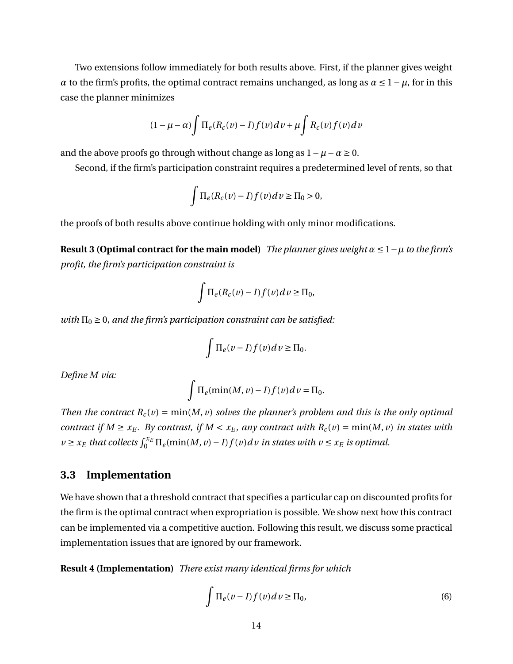Two extensions follow immediately for both results above. First, if the planner gives weight *α* to the firm's profits, the optimal contract remains unchanged, as long as  $\alpha \leq 1 - \mu$ , for in this case the planner minimizes

$$
(1 - \mu - \alpha) \int \Pi_e(R_c(v) - I) f(v) dv + \mu \int R_c(v) f(v) dv
$$

and the above proofs go through without change as long as 1−*µ*−*α* ≥ 0.

Second, if the firm's participation constraint requires a predetermined level of rents, so that

$$
\int \Pi_e(R_c(\nu) - I)f(\nu)d\nu \ge \Pi_0 > 0,
$$

the proofs of both results above continue holding with only minor modifications.

**Result 3 (Optimal contract for the main model)** *The planner gives weight α* ≤ 1−*µ to the firm's profit, the firm's participation constraint is*

$$
\int \Pi_e(R_c(v) - I) f(v) dv \ge \Pi_0,
$$

*with*  $\Pi_0 \geq 0$ , and the firm's participation constraint can be satisfied:

$$
\int \Pi_e(\nu - I) f(\nu) d\nu \ge \Pi_0.
$$

*Define M via:*

$$
\int \Pi_e(\min(M,\nu) - I) f(\nu) d\nu = \Pi_0.
$$

*Then the contract*  $R_c(v) = min(M, v)$  *solves the planner's problem and this is the only optimal contract if*  $M \ge x_E$ *. By contrast, if*  $M < x_E$ *, any contract with*  $R_c(v) = \min(M, v)$  *in states with*  $v \ge x_E$  *that collects*  $\int_0^{x_E} \prod_e(\min(M, v) - I) f(v) dv$  *in states with*  $v \le x_E$  *is optimal.* 

### **3.3 Implementation**

We have shown that a threshold contract that specifies a particular cap on discounted profits for the firm is the optimal contract when expropriation is possible. We show next how this contract can be implemented via a competitive auction. Following this result, we discuss some practical implementation issues that are ignored by our framework.

**Result 4 (Implementation)** *There exist many identical firms for which*

$$
\int \Pi_e(\nu - I) f(\nu) d\nu \ge \Pi_0,\tag{6}
$$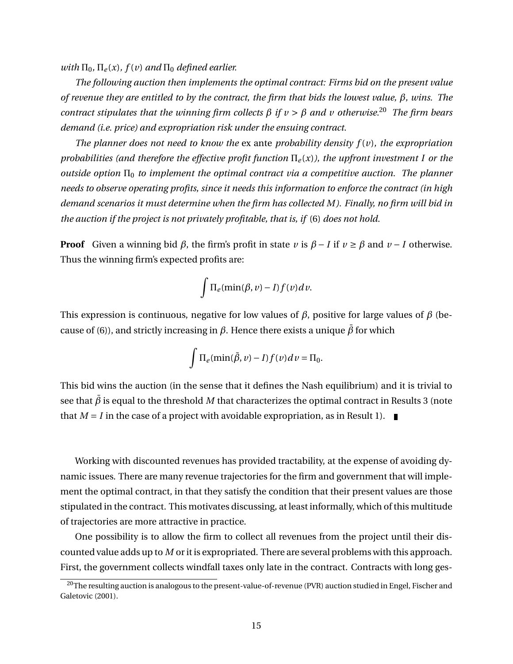*with*  $\Pi_0$ ,  $\Pi_e(x)$ ,  $f(v)$  *and*  $\Pi_0$  *defined earlier.* 

*The following auction then implements the optimal contract: Firms bid on the present value of revenue they are entitled to by the contract, the firm that bids the lowest value, β, wins. The contract stipulates that the winning firm collects*  $β$  *if*  $v > β$  *and v otherwise.*<sup>20</sup> *The firm bears demand (i.e. price) and expropriation risk under the ensuing contract.*

*The planner does not need to know the* ex ante *probability density f* (*v*)*, the expropriation probabilities (and therefore the effective profit function*  $\Pi_e(x)$ *), the upfront investment I or the outside option*  $\Pi_0$  *to implement the optimal contract via a competitive auction. The planner needs to observe operating profits, since it needs this information to enforce the contract (in high demand scenarios it must determine when the firm has collected M ). Finally, no firm will bid in the auction if the project is not privately profitable, that is, if* (6) *does not hold.*

**Proof** Given a winning bid  $\beta$ , the firm's profit in state *v* is  $\beta - I$  if  $v \ge \beta$  and  $v - I$  otherwise. Thus the winning firm's expected profits are:

$$
\int \Pi_e(\min(\beta,\nu)-I)f(\nu)d\nu.
$$

This expression is continuous, negative for low values of *β*, positive for large values of *β* (because of (6)), and strictly increasing in *β*. Hence there exists a unique  $\bar{\beta}$  for which

$$
\int \Pi_e(\min(\bar{\beta}, v) - I) f(v) dv = \Pi_0.
$$

This bid wins the auction (in the sense that it defines the Nash equilibrium) and it is trivial to see that  $\bar{\beta}$  is equal to the threshold *M* that characterizes the optimal contract in Results 3 (note that  $M = I$  in the case of a project with avoidable expropriation, as in Result 1).

Working with discounted revenues has provided tractability, at the expense of avoiding dynamic issues. There are many revenue trajectories for the firm and government that will implement the optimal contract, in that they satisfy the condition that their present values are those stipulated in the contract. This motivates discussing, at least informally, which of this multitude of trajectories are more attractive in practice.

One possibility is to allow the firm to collect all revenues from the project until their discounted value adds up to *M* or it is expropriated. There are several problems with this approach. First, the government collects windfall taxes only late in the contract. Contracts with long ges-

 $20$ The resulting auction is analogous to the present-value-of-revenue (PVR) auction studied in Engel, Fischer and Galetovic (2001).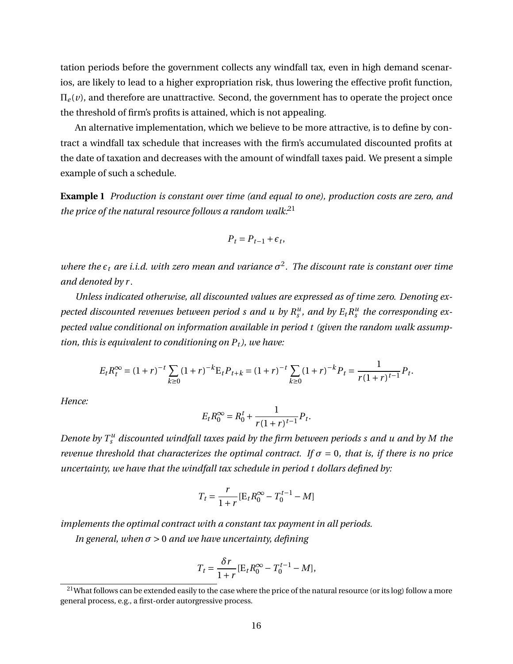tation periods before the government collects any windfall tax, even in high demand scenarios, are likely to lead to a higher expropriation risk, thus lowering the effective profit function, Π*<sup>e</sup>* (*v*), and therefore are unattractive. Second, the government has to operate the project once the threshold of firm's profits is attained, which is not appealing.

An alternative implementation, which we believe to be more attractive, is to define by contract a windfall tax schedule that increases with the firm's accumulated discounted profits at the date of taxation and decreases with the amount of windfall taxes paid. We present a simple example of such a schedule.

**Example 1** *Production is constant over time (and equal to one), production costs are zero, and the price of the natural resource follows a random walk:*<sup>21</sup>

$$
P_t = P_{t-1} + \epsilon_t,
$$

*where the*  $\epsilon_t$  *are i.i.d. with zero mean and variance*  $\sigma^2$ . The discount rate is constant over time *and denoted by r .*

*Unless indicated otherwise, all discounted values are expressed as of time zero. Denoting expected discounted revenues between period s and u by*  $R_s^u$ *, and by*  $E_t R_s^u$  *the corresponding expected value conditional on information available in period t (given the random walk assumption, this is equivalent to conditioning on Pt), we have:*

$$
E_t R_t^{\infty} = (1+r)^{-t} \sum_{k \ge 0} (1+r)^{-k} E_t P_{t+k} = (1+r)^{-t} \sum_{k \ge 0} (1+r)^{-k} P_t = \frac{1}{r(1+r)^{t-1}} P_t.
$$

*Hence:*

$$
E_t R_0^{\infty} = R_0^t + \frac{1}{r(1+r)^{t-1}} P_t
$$

.

Denote by  $T_{s}^u$  discounted windfall taxes paid by the firm between periods  $s$  and  $u$  and by  $M$  the *revenue threshold that characterizes the optimal contract. If*  $\sigma = 0$ , that is, if there is no price *uncertainty, we have that the windfall tax schedule in period t dollars defined by:*

$$
T_t = \frac{r}{1+r} [E_t R_0^{\infty} - T_0^{t-1} - M]
$$

*implements the optimal contract with a constant tax payment in all periods.*

*In general, when σ* > 0 *and we have uncertainty, defining*

$$
T_t = \frac{\delta r}{1+r} \left[ \mathbf{E}_t R_0^{\infty} - T_0^{t-1} - M \right],
$$

 $21$ What follows can be extended easily to the case where the price of the natural resource (or its log) follow a more general process, e.g., a first-order autorgressive process.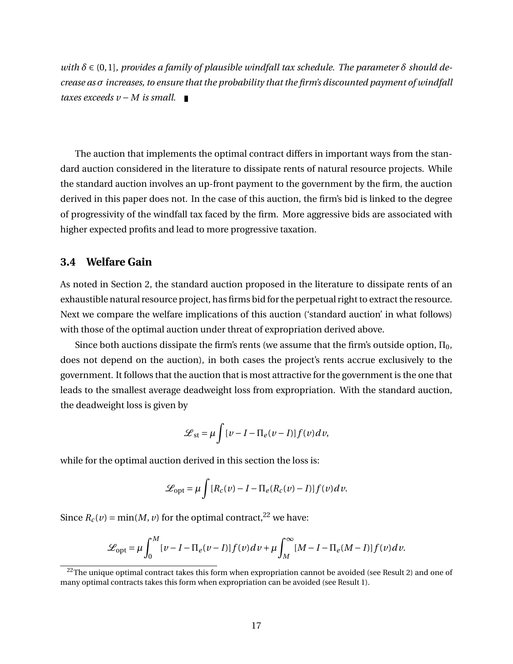*with δ* ∈ (0, 1]*, provides a family of plausible windfall tax schedule. The parameter δ should decrease as σ increases, to ensure that the probability that the firm's discounted payment of windfall taxes exceeds v − M is small.* ■

The auction that implements the optimal contract differs in important ways from the standard auction considered in the literature to dissipate rents of natural resource projects. While the standard auction involves an up-front payment to the government by the firm, the auction derived in this paper does not. In the case of this auction, the firm's bid is linked to the degree of progressivity of the windfall tax faced by the firm. More aggressive bids are associated with higher expected profits and lead to more progressive taxation.

### **3.4 Welfare Gain**

As noted in Section 2, the standard auction proposed in the literature to dissipate rents of an exhaustible natural resource project, has firms bid for the perpetual right to extract the resource. Next we compare the welfare implications of this auction ('standard auction' in what follows) with those of the optimal auction under threat of expropriation derived above.

Since both auctions dissipate the firm's rents (we assume that the firm's outside option,  $\Pi_0$ , does not depend on the auction), in both cases the project's rents accrue exclusively to the government. It follows that the auction that is most attractive for the government is the one that leads to the smallest average deadweight loss from expropriation. With the standard auction, the deadweight loss is given by

$$
\mathcal{L}_{\text{st}} = \mu \int [\nu - I - \Pi_e(\nu - I)] f(\nu) d\nu,
$$

while for the optimal auction derived in this section the loss is:

$$
\mathcal{L}_{\text{opt}} = \mu \int \left[ R_c(\nu) - I - \Pi_e (R_c(\nu) - I) \right] f(\nu) d\nu.
$$

Since  $R_c(v) = \min(M, v)$  for the optimal contract,<sup>22</sup> we have:

$$
\mathcal{L}_{\text{opt}} = \mu \int_0^M \left[ \nu - I - \Pi_e(\nu - I) \right] f(\nu) d\nu + \mu \int_M^\infty \left[ M - I - \Pi_e(M - I) \right] f(\nu) d\nu.
$$

<sup>&</sup>lt;sup>22</sup>The unique optimal contract takes this form when expropriation cannot be avoided (see Result 2) and one of many optimal contracts takes this form when expropriation can be avoided (see Result 1).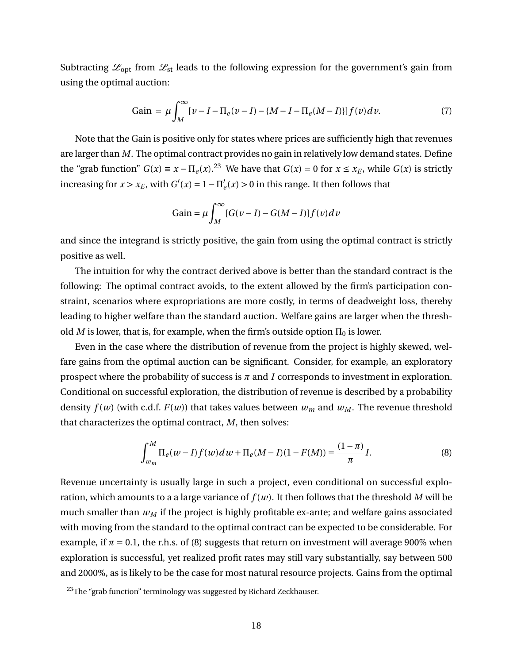Subtracting  $\mathcal{L}_{opt}$  from  $\mathcal{L}_{st}$  leads to the following expression for the government's gain from using the optimal auction:

Gain = 
$$
\mu \int_M^{\infty} [v - I - \Pi_e(v - I) - \{M - I - \Pi_e(M - I)\}] f(v) dv.
$$
 (7)

Note that the Gain is positive only for states where prices are sufficiently high that revenues are larger than *M*. The optimal contract provides no gain in relatively low demand states. Define the "grab function"  $G(x) \equiv x - \prod_e(x)$ .<sup>23</sup> We have that  $G(x) = 0$  for  $x \le x_E$ , while  $G(x)$  is strictly increasing for  $x > x_E$ , with  $G'(x) = 1 - \prod_{k=1}^{n}$  $e'_{e}(x) > 0$  in this range. It then follows that

$$
Gain = \mu \int_M^{\infty} [G(\nu - I) - G(M - I)] f(\nu) d\nu
$$

and since the integrand is strictly positive, the gain from using the optimal contract is strictly positive as well.

The intuition for why the contract derived above is better than the standard contract is the following: The optimal contract avoids, to the extent allowed by the firm's participation constraint, scenarios where expropriations are more costly, in terms of deadweight loss, thereby leading to higher welfare than the standard auction. Welfare gains are larger when the threshold  $M$  is lower, that is, for example, when the firm's outside option  $\Pi_0$  is lower.

Even in the case where the distribution of revenue from the project is highly skewed, welfare gains from the optimal auction can be significant. Consider, for example, an exploratory prospect where the probability of success is  $\pi$  and  $I$  corresponds to investment in exploration. Conditional on successful exploration, the distribution of revenue is described by a probability density  $f(w)$  (with c.d.f.  $F(w)$ ) that takes values between  $w_m$  and  $w_M$ . The revenue threshold that characterizes the optimal contract, *M*, then solves:

$$
\int_{w_m}^{M} \Pi_e(w - I) f(w) dw + \Pi_e(M - I)(1 - F(M)) = \frac{(1 - \pi)}{\pi} I.
$$
 (8)

Revenue uncertainty is usually large in such a project, even conditional on successful exploration, which amounts to a a large variance of  $f(w)$ . It then follows that the threshold *M* will be much smaller than  $w_M$  if the project is highly profitable ex-ante; and welfare gains associated with moving from the standard to the optimal contract can be expected to be considerable. For example, if  $\pi = 0.1$ , the r.h.s. of (8) suggests that return on investment will average 900% when exploration is successful, yet realized profit rates may still vary substantially, say between 500 and 2000%, as is likely to be the case for most natural resource projects. Gains from the optimal

 $^{23}$ The "grab function" terminology was suggested by Richard Zeckhauser.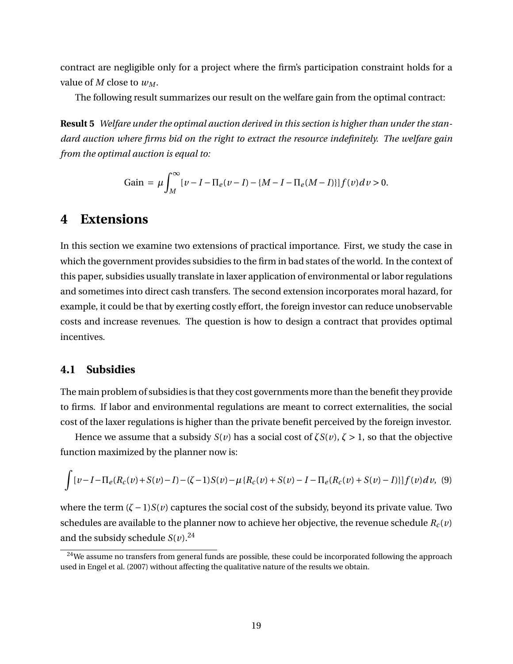contract are negligible only for a project where the firm's participation constraint holds for a value of *M* close to *w<sup>M</sup>* .

The following result summarizes our result on the welfare gain from the optimal contract:

**Result 5** *Welfare under the optimal auction derived in this section is higher than under the standard auction where firms bid on the right to extract the resource indefinitely. The welfare gain from the optimal auction is equal to:*

Gain = 
$$
\mu \int_M^{\infty} [v - I - \Pi_e(v - I) - (M - I - \Pi_e(M - I))] f(v) dv > 0.
$$

### **4 Extensions**

In this section we examine two extensions of practical importance. First, we study the case in which the government provides subsidies to the firm in bad states of the world. In the context of this paper, subsidies usually translate in laxer application of environmental or labor regulations and sometimes into direct cash transfers. The second extension incorporates moral hazard, for example, it could be that by exerting costly effort, the foreign investor can reduce unobservable costs and increase revenues. The question is how to design a contract that provides optimal incentives.

### **4.1 Subsidies**

The main problem of subsidies is that they cost governments more than the benefit they provide to firms. If labor and environmental regulations are meant to correct externalities, the social cost of the laxer regulations is higher than the private benefit perceived by the foreign investor.

Hence we assume that a subsidy  $S(v)$  has a social cost of  $\zeta S(v)$ ,  $\zeta > 1$ , so that the objective function maximized by the planner now is:

$$
\int \left[ \nu - I - \Pi_e(R_c(\nu) + S(\nu) - I) - (\zeta - 1)S(\nu) - \mu \{R_c(\nu) + S(\nu) - I - \Pi_e(R_c(\nu) + S(\nu) - I)\} \right] f(\nu) d\nu, \tag{9}
$$

where the term (*ζ*−1)*S*(*v*) captures the social cost of the subsidy, beyond its private value. Two schedules are available to the planner now to achieve her objective, the revenue schedule  $R_c(v)$ and the subsidy schedule  $S(v)$ .<sup>24</sup>

<sup>&</sup>lt;sup>24</sup>We assume no transfers from general funds are possible, these could be incorporated following the approach used in Engel et al. (2007) without affecting the qualitative nature of the results we obtain.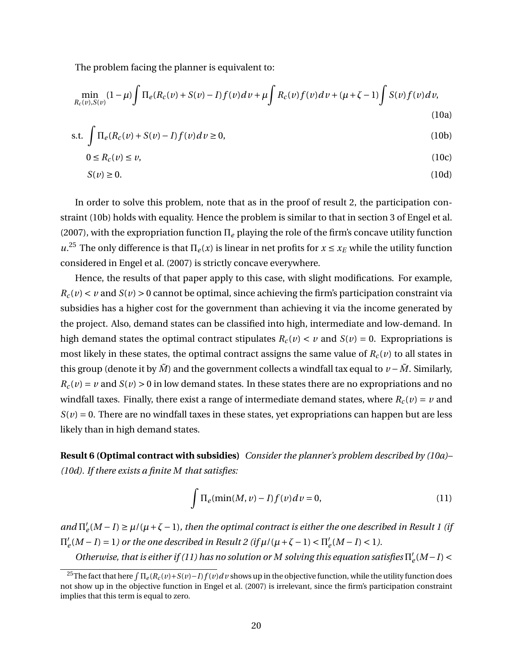The problem facing the planner is equivalent to:

$$
\min_{R_c(v), S(v)} (1 - \mu) \int \Pi_e(R_c(v) + S(v) - I) f(v) dv + \mu \int R_c(v) f(v) dv + (\mu + \zeta - 1) \int S(v) f(v) dv,
$$
\n(10a)

s.t. 
$$
\int \Pi_e(R_c(v) + S(v) - I) f(v) dv \ge 0,
$$
 (10b)

$$
0 \le R_c(\nu) \le \nu,\tag{10c}
$$

$$
S(\nu) \ge 0. \tag{10d}
$$

In order to solve this problem, note that as in the proof of result 2, the participation constraint (10b) holds with equality. Hence the problem is similar to that in section 3 of Engel et al. (2007), with the expropriation function Π*<sup>e</sup>* playing the role of the firm's concave utility function  $u^{25}$  The only difference is that  $\Pi_e(x)$  is linear in net profits for  $x \le x_E$  while the utility function considered in Engel et al. (2007) is strictly concave everywhere.

Hence, the results of that paper apply to this case, with slight modifications. For example,  $R_c(v) < v$  and  $S(v) > 0$  cannot be optimal, since achieving the firm's participation constraint via subsidies has a higher cost for the government than achieving it via the income generated by the project. Also, demand states can be classified into high, intermediate and low-demand. In high demand states the optimal contract stipulates  $R_c(v) < v$  and  $S(v) = 0$ . Expropriations is most likely in these states, the optimal contract assigns the same value of  $R_c(v)$  to all states in this group (denote it by  $\tilde{M}$ ) and the government collects a windfall tax equal to  $v - \tilde{M}$ . Similarly,  $R_c(v) = v$  and  $S(v) > 0$  in low demand states. In these states there are no expropriations and no windfall taxes. Finally, there exist a range of intermediate demand states, where  $R_c(v) = v$  and  $S(v) = 0$ . There are no windfall taxes in these states, yet expropriations can happen but are less likely than in high demand states.

**Result 6 (Optimal contract with subsidies)** *Consider the planner's problem described by (10a)– (10d). If there exists a finite M that satisfies:*

$$
\int \Pi_e(\min(M,\nu) - I)f(\nu)d\nu = 0,
$$
\n(11)

 $and \prod_{\ell}^{\prime}$  $P_e(M-I) ≥ µ/(\mu+\zeta-1)$ , then the optimal contract is either the one described in Result 1 (if  $\Pi'_{\ell}$  $P_e(M-I) = 1$ ) or the one described in Result 2 (if  $\mu I(\mu + \zeta - 1) < \Pi_e$  $e'_{e}(M-I) < 1$ .

*Otherwise, that is either if (11) has no solution or M solving this equation satisfies* Π 0 *e* (*M*−*I*) <

<sup>25</sup>The fact that here R Π*<sup>e</sup>* (*R<sup>c</sup>* (*v*)+*S*(*v*)−*I*)*f* (*v*)*d v* shows up in the objective function, while the utility function does not show up in the objective function in Engel et al. (2007) is irrelevant, since the firm's participation constraint implies that this term is equal to zero.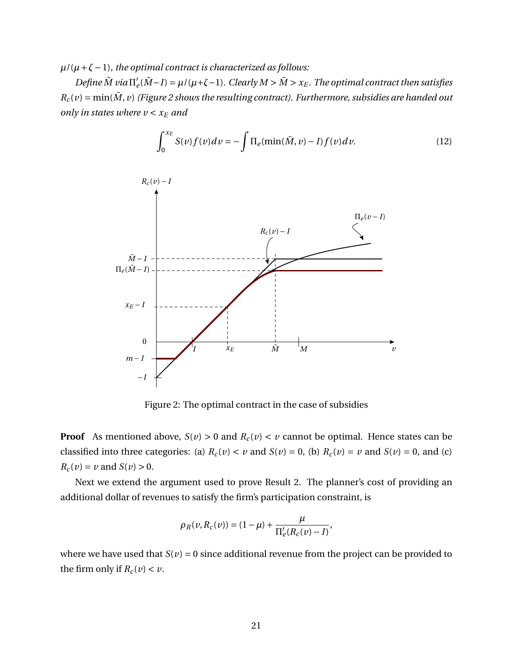$\mu/(\mu+\zeta-1)$ *, the optimal contract is characterized as follows:* 

 $\hat{D}$ efine  $\tilde{M}$  via  $\Pi'_{\epsilon}$  $\int_{e}^{t}$  ( $\tilde{M}-I$ ) =  $\mu$  /( $\mu$ + $\zeta$  – 1). Clearly  $M$  >  $\tilde{M}$  >  $x_{E}$ . The optimal contract then satisfies  $R_c(v) = min(\tilde{M}, v)$  (Figure 2 shows the resulting contract). Furthermore, subsidies are handed out *only in states where*  $v < x_E$  *and* 

$$
\int_0^{x_E} S(v)f(v)dv = -\int \Pi_e(\min(\tilde{M}, v) - I)f(v)dv.
$$
\n(12)



Figure 2: The optimal contract in the case of subsidies

**Proof** As mentioned above,  $S(v) > 0$  and  $R_c(v) < v$  cannot be optimal. Hence states can be classified into three categories: (a)  $R_c(v) < v$  and  $S(v) = 0$ , (b)  $R_c(v) = v$  and  $S(v) = 0$ , and (c)  $R_c(v) = v$  and  $S(v) > 0$ .

Next we extend the argument used to prove Result 2. The planner's cost of providing an additional dollar of revenues to satisfy the firm's participation constraint, is

$$
\rho_R(\nu, R_c(\nu)) = (1 - \mu) + \frac{\mu}{\Pi'_e(R_c(\nu) - I)},
$$

where we have used that  $S(v) = 0$  since additional revenue from the project can be provided to the firm only if  $R_c(v) < v$ .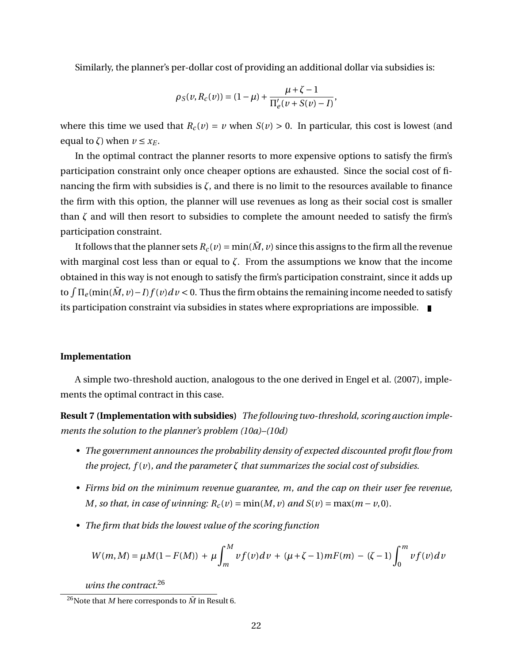Similarly, the planner's per-dollar cost of providing an additional dollar via subsidies is:

$$
\rho_S(\nu,R_c(\nu))=(1-\mu)+\frac{\mu+\zeta-1}{\Pi^\prime_e(\nu+S(\nu)-I)},
$$

where this time we used that  $R_c(v) = v$  when  $S(v) > 0$ . In particular, this cost is lowest (and equal to  $\zeta$ ) when  $\nu \leq x_E$ .

In the optimal contract the planner resorts to more expensive options to satisfy the firm's participation constraint only once cheaper options are exhausted. Since the social cost of financing the firm with subsidies is *ζ*, and there is no limit to the resources available to finance the firm with this option, the planner will use revenues as long as their social cost is smaller than *ζ* and will then resort to subsidies to complete the amount needed to satisfy the firm's participation constraint.

It follows that the planner sets  $R_c(v) = \min(\tilde{M}, v)$  since this assigns to the firm all the revenue with marginal cost less than or equal to  $\zeta$ . From the assumptions we know that the income obtained in this way is not enough to satisfy the firm's participation constraint, since it adds up to  $\int \Pi_e ({\min (\tilde M}, \nu) - I) f(\nu) d\nu$  < 0. Thus the firm obtains the remaining income needed to satisfy its participation constraint via subsidies in states where expropriations are impossible.

#### **Implementation**

A simple two-threshold auction, analogous to the one derived in Engel et al. (2007), implements the optimal contract in this case.

**Result 7 (Implementation with subsidies)** *The following two-threshold, scoring auction implements the solution to the planner's problem (10a)–(10d)*

- *• The government announces the probability density of expected discounted profit flow from the project, f* (*v*)*, and the parameter ζ that summarizes the social cost of subsidies.*
- *• Firms bid on the minimum revenue guarantee, m, and the cap on their user fee revenue, M*, so that, in case of winning:  $R_c(v) = \min(M, v)$  and  $S(v) = \max(m - v, 0)$ .
- *• The firm that bids the lowest value of the scoring function*

$$
W(m, M) = \mu M(1 - F(M)) + \mu \int_{m}^{M} vf(v) dv + (\mu + \zeta - 1) mF(m) - (\zeta - 1) \int_{0}^{m} vf(v) dv
$$

*wins the contract.*<sup>26</sup>

<sup>&</sup>lt;sup>26</sup>Note that *M* here corresponds to  $\tilde{M}$  in Result 6.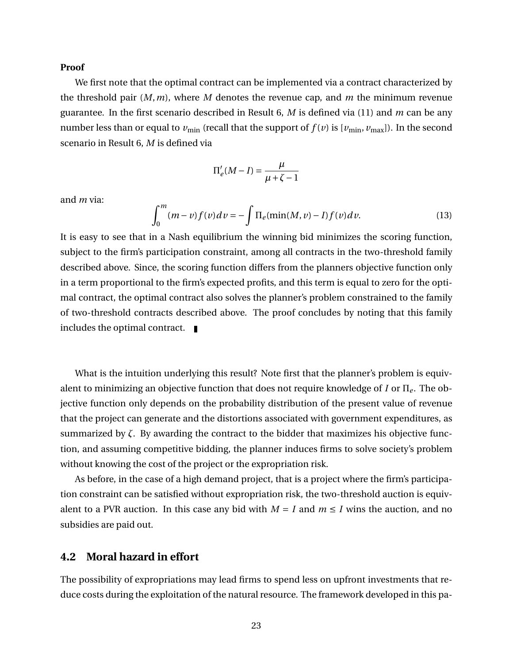#### **Proof**

We first note that the optimal contract can be implemented via a contract characterized by the threshold pair (*M*,*m*), where *M* denotes the revenue cap, and *m* the minimum revenue guarantee. In the first scenario described in Result 6, *M* is defined via (11) and *m* can be any number less than or equal to  $v_{\text{min}}$  (recall that the support of  $f(v)$  is  $[v_{\text{min}}, v_{\text{max}}]$ ). In the second scenario in Result 6, *M* is defined via

$$
\Pi'_e(M-I) = \frac{\mu}{\mu + \zeta - 1}
$$

and *m* via:

$$
\int_0^m (m-v)f(v)dv = -\int \Pi_e(\min(M,v) - I)f(v)dv.
$$
 (13)

It is easy to see that in a Nash equilibrium the winning bid minimizes the scoring function, subject to the firm's participation constraint, among all contracts in the two-threshold family described above. Since, the scoring function differs from the planners objective function only in a term proportional to the firm's expected profits, and this term is equal to zero for the optimal contract, the optimal contract also solves the planner's problem constrained to the family of two-threshold contracts described above. The proof concludes by noting that this family includes the optimal contract.

What is the intuition underlying this result? Note first that the planner's problem is equivalent to minimizing an objective function that does not require knowledge of *I* or Π*<sup>e</sup>* . The objective function only depends on the probability distribution of the present value of revenue that the project can generate and the distortions associated with government expenditures, as summarized by *ζ*. By awarding the contract to the bidder that maximizes his objective function, and assuming competitive bidding, the planner induces firms to solve society's problem without knowing the cost of the project or the expropriation risk.

As before, in the case of a high demand project, that is a project where the firm's participation constraint can be satisfied without expropriation risk, the two-threshold auction is equivalent to a PVR auction. In this case any bid with  $M = I$  and  $m \leq I$  wins the auction, and no subsidies are paid out.

### **4.2 Moral hazard in effort**

The possibility of expropriations may lead firms to spend less on upfront investments that reduce costs during the exploitation of the natural resource. The framework developed in this pa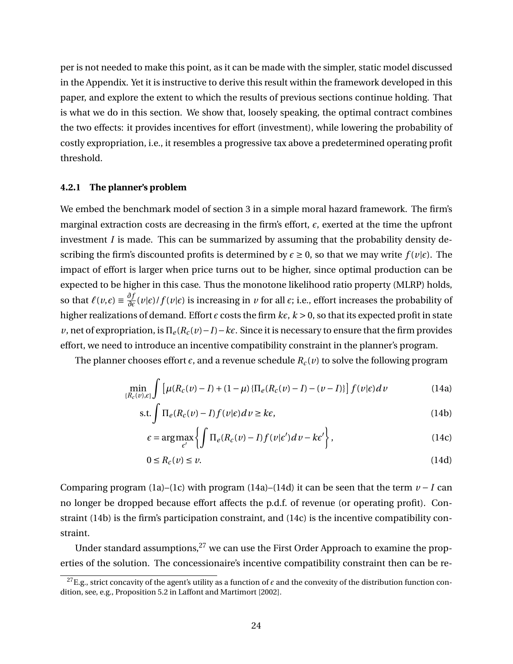per is not needed to make this point, as it can be made with the simpler, static model discussed in the Appendix. Yet it is instructive to derive this result within the framework developed in this paper, and explore the extent to which the results of previous sections continue holding. That is what we do in this section. We show that, loosely speaking, the optimal contract combines the two effects: it provides incentives for effort (investment), while lowering the probability of costly expropriation, i.e., it resembles a progressive tax above a predetermined operating profit threshold.

#### **4.2.1 The planner's problem**

We embed the benchmark model of section 3 in a simple moral hazard framework. The firm's marginal extraction costs are decreasing in the firm's effort,  $\epsilon$ , exerted at the time the upfront investment *I* is made. This can be summarized by assuming that the probability density describing the firm's discounted profits is determined by  $\epsilon \ge 0$ , so that we may write  $f(\nu|\epsilon)$ . The impact of effort is larger when price turns out to be higher, since optimal production can be expected to be higher in this case. Thus the monotone likelihood ratio property (MLRP) holds, so that  $\ell(v,\epsilon) = \frac{\partial f}{\partial \epsilon}(v|\epsilon)/f(v|\epsilon)$  is increasing in *v* for all  $\epsilon$ ; i.e., effort increases the probability of higher realizations of demand. Effort  $\epsilon$  costs the firm  $k\epsilon$ ,  $k > 0$ , so that its expected profit in state *v*, net of expropriation, is  $\Pi_e(R_c(v) - I) - k\epsilon$ . Since it is necessary to ensure that the firm provides effort, we need to introduce an incentive compatibility constraint in the planner's program.

The planner chooses effort  $\epsilon$ , and a revenue schedule  $R_c(v)$  to solve the following program

$$
\min_{\{R_c(v),\epsilon\}} \int \left[ \mu(R_c(v) - I) + (1 - \mu) \left\{ \Pi_e(R_c(v) - I) - (v - I) \right\} \right] f(v|\epsilon) dv \tag{14a}
$$

$$
\text{s.t.} \int \Pi_e(R_c(v) - I) f(v|\epsilon) dv \ge k\epsilon,\tag{14b}
$$

$$
\epsilon = \arg \max_{\epsilon'} \left\{ \int \Pi_e (R_c(\nu) - I) f(\nu | \epsilon') d\nu - k\epsilon' \right\},\tag{14c}
$$

$$
0 \le R_c(\nu) \le \nu. \tag{14d}
$$

Comparing program (1a)–(1c) with program (14a)–(14d) it can be seen that the term *v* − *I* can no longer be dropped because effort affects the p.d.f. of revenue (or operating profit). Constraint (14b) is the firm's participation constraint, and (14c) is the incentive compatibility constraint.

Under standard assumptions,  $27$  we can use the First Order Approach to examine the properties of the solution. The concessionaire's incentive compatibility constraint then can be re-

<sup>&</sup>lt;sup>27</sup>E.g., strict concavity of the agent's utility as a function of  $\epsilon$  and the convexity of the distribution function condition, see, e.g., Proposition 5.2 in Laffont and Martimort [2002].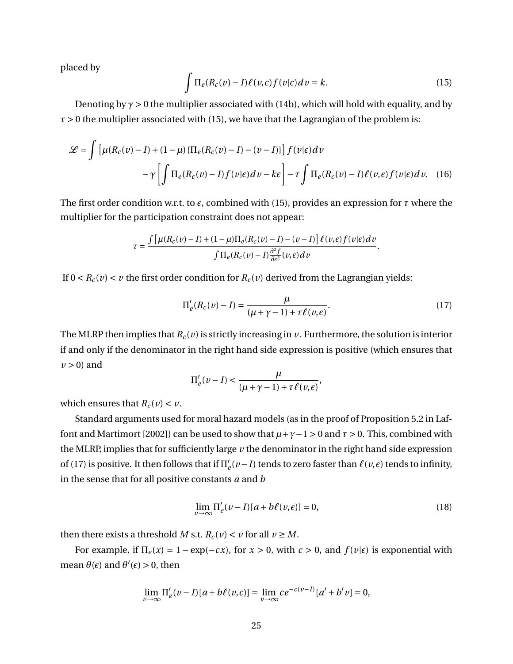placed by

$$
\int \Pi_e(R_c(v) - I)\ell(v,\epsilon)f(v|\epsilon)dv = k.
$$
\n(15)

Denoting by *γ* > 0 the multiplier associated with (14b), which will hold with equality, and by *τ* > 0 the multiplier associated with (15), we have that the Lagrangian of the problem is:

$$
\mathcal{L} = \int \left[ \mu(R_c(\nu) - I) + (1 - \mu) \left\{ \Pi_e(R_c(\nu) - I) - (\nu - I) \right\} \right] f(\nu|\epsilon) d\nu
$$

$$
- \gamma \left[ \int \Pi_e(R_c(\nu) - I) f(\nu|\epsilon) d\nu - k\epsilon \right] - \tau \int \Pi_e(R_c(\nu) - I) \ell(\nu, \epsilon) f(\nu|\epsilon) d\nu. \quad (16)
$$

The first order condition w.r.t. to  $\epsilon$ , combined with (15), provides an expression for  $\tau$  where the multiplier for the participation constraint does not appear:

$$
\tau = \frac{\int \left[\mu(R_c(v) - I) + (1 - \mu)\Pi_e(R_c(v) - I) - (v - I)\right] \ell(v,\epsilon) f(v|\epsilon) dv}{\int \Pi_e(R_c(v) - I) \frac{\partial^2 f}{\partial \epsilon^2}(v,\epsilon) dv}.
$$

If  $0 < R_c(v) < v$  the first order condition for  $R_c(v)$  derived from the Lagrangian yields:

$$
\Pi'_{e}(R_{c}(v) - I) = \frac{\mu}{(\mu + \gamma - 1) + \tau \ell(v, \epsilon)}.
$$
\n(17)

The MLRP then implies that  $R_c(v)$  is strictly increasing in  $v$ . Furthermore, the solution is interior if and only if the denominator in the right hand side expression is positive (which ensures that  $\nu > 0$ ) and

$$
\Pi'_e(\nu-I) < \frac{\mu}{(\mu+\gamma-1)+\tau\ell(\nu,\epsilon)},
$$

which ensures that  $R_c(v) < v$ .

Standard arguments used for moral hazard models (as in the proof of Proposition 5.2 in Laffont and Martimort [2002]) can be used to show that  $\mu + \gamma - 1 > 0$  and  $\tau > 0$ . This, combined with the MLRP, implies that for sufficiently large *v* the denominator in the right hand side expression of (17) is positive. It then follows that if  $\Pi'$  $\ell_e(v-I)$  tends to zero faster than  $\ell(v,\epsilon)$  tends to infinity, in the sense that for all positive constants *a* and *b*

$$
\lim_{\nu \to \infty} \Pi'_e(\nu - I)[a + b\ell(\nu, \epsilon)] = 0,\tag{18}
$$

then there exists a threshold *M* s.t.  $R_c(v) < v$  for all  $v \ge M$ .

For example, if  $\Pi_e(x) = 1 - \exp(-cx)$ , for  $x > 0$ , with  $c > 0$ , and  $f(v|\epsilon)$  is exponential with mean  $\theta(\epsilon)$  and  $\theta'(\epsilon) > 0$ , then

$$
\lim_{v \to \infty} \Pi'_e(v - I)[a + b\ell(v, \epsilon)] = \lim_{v \to \infty} ce^{-c(v - I)}[a' + b'v] = 0,
$$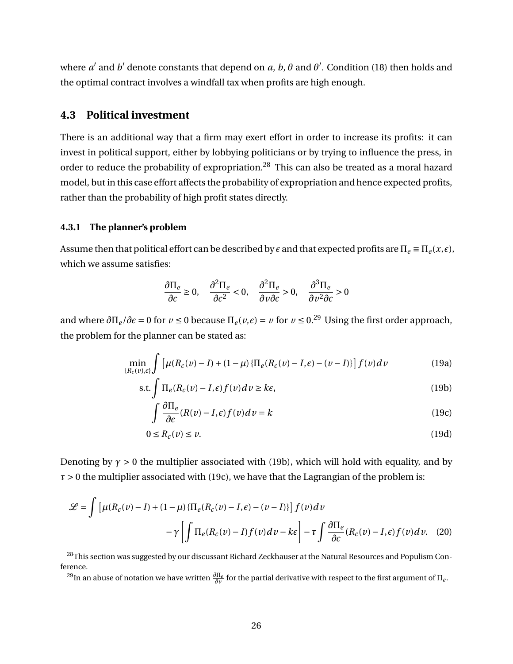where  $a'$  and  $b'$  denote constants that depend on  $a, b, \theta$  and  $\theta'$ . Condition (18) then holds and the optimal contract involves a windfall tax when profits are high enough.

### **4.3 Political investment**

There is an additional way that a firm may exert effort in order to increase its profits: it can invest in political support, either by lobbying politicians or by trying to influence the press, in order to reduce the probability of expropriation.<sup>28</sup> This can also be treated as a moral hazard model, but in this case effort affects the probability of expropriation and hence expected profits, rather than the probability of high profit states directly.

#### **4.3.1 The planner's problem**

Assume then that political effort can be described by  $\epsilon$  and that expected profits are  $\Pi_e \equiv \Pi_e(x,\epsilon)$ , which we assume satisfies:

$$
\frac{\partial \Pi_e}{\partial \epsilon} \ge 0, \quad \frac{\partial^2 \Pi_e}{\partial \epsilon^2} < 0, \quad \frac{\partial^2 \Pi_e}{\partial \nu \partial \epsilon} > 0, \quad \frac{\partial^3 \Pi_e}{\partial \nu^2 \partial \epsilon} > 0
$$

and where  $\frac{\partial \Pi_e}{\partial \epsilon} = 0$  for  $v \le 0$  because  $\Pi_e(v, \epsilon) = v$  for  $v \le 0$ .<sup>29</sup> Using the first order approach, the problem for the planner can be stated as:

$$
\min_{\{R_c(v),\epsilon\}} \int \left[ \mu(R_c(v) - I) + (1 - \mu) \left\{ \Pi_e(R_c(v) - I, \epsilon) - (v - I) \right\} \right] f(v) dv \tag{19a}
$$

$$
\text{s.t.} \int \Pi_e(R_c(v) - I, \epsilon) f(v) dv \ge k\epsilon,\tag{19b}
$$

$$
\int \frac{\partial \Pi_e}{\partial \epsilon} (R(\nu) - I, \epsilon) f(\nu) d\nu = k \tag{19c}
$$

$$
0 \le R_c(\nu) \le \nu. \tag{19d}
$$

Denoting by  $\gamma > 0$  the multiplier associated with (19b), which will hold with equality, and by *τ* > 0 the multiplier associated with (19c), we have that the Lagrangian of the problem is:

$$
\mathcal{L} = \int \left[ \mu(R_c(\nu) - I) + (1 - \mu) \left\{ \Pi_e(R_c(\nu) - I, \epsilon) - (\nu - I) \right\} \right] f(\nu) d\nu
$$

$$
- \gamma \left[ \int \Pi_e(R_c(\nu) - I) f(\nu) d\nu - k\epsilon \right] - \tau \int \frac{\partial \Pi_e}{\partial \epsilon} (R_c(\nu) - I, \epsilon) f(\nu) d\nu. \tag{20}
$$

<sup>&</sup>lt;sup>28</sup>This section was suggested by our discussant Richard Zeckhauser at the Natural Resources and Populism Conference.

 $^{29}$ In an abuse of notation we have written  $\frac{\partial\Pi_e}{\partial v}$  for the partial derivative with respect to the first argument of Π<sub>e</sub>.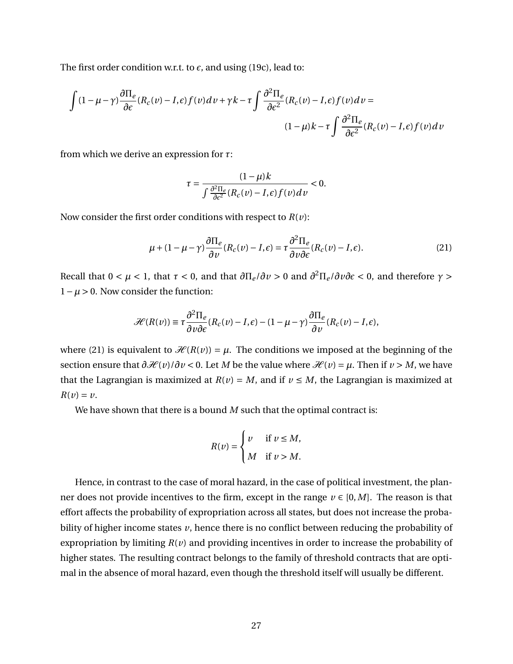The first order condition w.r.t. to  $\epsilon$ , and using (19c), lead to:

$$
\int (1 - \mu - \gamma) \frac{\partial \Pi_e}{\partial \epsilon} (R_c(v) - I, \epsilon) f(v) dv + \gamma k - \tau \int \frac{\partial^2 \Pi_e}{\partial \epsilon^2} (R_c(v) - I, \epsilon) f(v) dv =
$$
  

$$
(1 - \mu) k - \tau \int \frac{\partial^2 \Pi_e}{\partial \epsilon^2} (R_c(v) - I, \epsilon) f(v) dv
$$

from which we derive an expression for *τ*:

$$
\tau = \frac{(1-\mu)k}{\int \frac{\partial^2 \Pi_e}{\partial \epsilon^2} (R_c(\nu) - I, \epsilon) f(\nu) d\nu} < 0.
$$

Now consider the first order conditions with respect to *R*(*v*):

$$
\mu + (1 - \mu - \gamma) \frac{\partial \Pi_e}{\partial \nu} (R_c(\nu) - I, \epsilon) = \tau \frac{\partial^2 \Pi_e}{\partial \nu \partial \epsilon} (R_c(\nu) - I, \epsilon).
$$
 (21)

Recall that  $0 < \mu < 1$ , that  $\tau < 0$ , and that  $\frac{\partial \Pi_e}{\partial \nu} > 0$  and  $\frac{\partial^2 \Pi_e}{\partial \nu \partial \epsilon} < 0$ , and therefore  $\gamma > 0$ 1−*µ* > 0. Now consider the function:

$$
\mathcal{H}(R(\nu)) \equiv \tau \frac{\partial^2 \Pi_e}{\partial \nu \partial \epsilon} (R_c(\nu) - I, \epsilon) - (1 - \mu - \gamma) \frac{\partial \Pi_e}{\partial \nu} (R_c(\nu) - I, \epsilon),
$$

where (21) is equivalent to  $\mathcal{H}(R(v)) = \mu$ . The conditions we imposed at the beginning of the section ensure that  $\partial \mathcal{H}(v)/\partial v$  < 0. Let *M* be the value where  $\mathcal{H}(v) = \mu$ . Then if  $v > M$ , we have that the Lagrangian is maximized at  $R(v) = M$ , and if  $v \leq M$ , the Lagrangian is maximized at  $R(v) = v$ .

We have shown that there is a bound *M* such that the optimal contract is:

$$
R(v) = \begin{cases} v & \text{if } v \le M, \\ M & \text{if } v > M. \end{cases}
$$

Hence, in contrast to the case of moral hazard, in the case of political investment, the planner does not provide incentives to the firm, except in the range  $v \in [0, M]$ . The reason is that effort affects the probability of expropriation across all states, but does not increase the probability of higher income states *v*, hence there is no conflict between reducing the probability of expropriation by limiting *R*(*v*) and providing incentives in order to increase the probability of higher states. The resulting contract belongs to the family of threshold contracts that are optimal in the absence of moral hazard, even though the threshold itself will usually be different.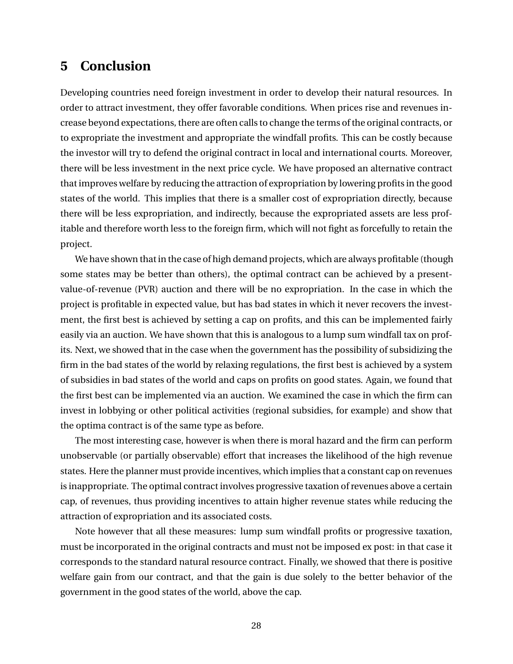## **5 Conclusion**

Developing countries need foreign investment in order to develop their natural resources. In order to attract investment, they offer favorable conditions. When prices rise and revenues increase beyond expectations, there are often calls to change the terms of the original contracts, or to expropriate the investment and appropriate the windfall profits. This can be costly because the investor will try to defend the original contract in local and international courts. Moreover, there will be less investment in the next price cycle. We have proposed an alternative contract that improves welfare by reducing the attraction of expropriation by lowering profits in the good states of the world. This implies that there is a smaller cost of expropriation directly, because there will be less expropriation, and indirectly, because the expropriated assets are less profitable and therefore worth less to the foreign firm, which will not fight as forcefully to retain the project.

We have shown that in the case of high demand projects, which are always profitable (though some states may be better than others), the optimal contract can be achieved by a presentvalue-of-revenue (PVR) auction and there will be no expropriation. In the case in which the project is profitable in expected value, but has bad states in which it never recovers the investment, the first best is achieved by setting a cap on profits, and this can be implemented fairly easily via an auction. We have shown that this is analogous to a lump sum windfall tax on profits. Next, we showed that in the case when the government has the possibility of subsidizing the firm in the bad states of the world by relaxing regulations, the first best is achieved by a system of subsidies in bad states of the world and caps on profits on good states. Again, we found that the first best can be implemented via an auction. We examined the case in which the firm can invest in lobbying or other political activities (regional subsidies, for example) and show that the optima contract is of the same type as before.

The most interesting case, however is when there is moral hazard and the firm can perform unobservable (or partially observable) effort that increases the likelihood of the high revenue states. Here the planner must provide incentives, which implies that a constant cap on revenues is inappropriate. The optimal contract involves progressive taxation of revenues above a certain cap, of revenues, thus providing incentives to attain higher revenue states while reducing the attraction of expropriation and its associated costs.

Note however that all these measures: lump sum windfall profits or progressive taxation, must be incorporated in the original contracts and must not be imposed ex post: in that case it corresponds to the standard natural resource contract. Finally, we showed that there is positive welfare gain from our contract, and that the gain is due solely to the better behavior of the government in the good states of the world, above the cap.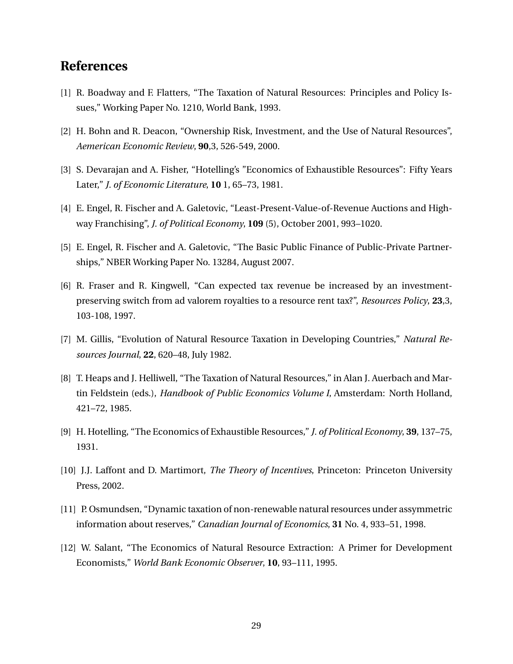## **References**

- [1] R. Boadway and F. Flatters, "The Taxation of Natural Resources: Principles and Policy Issues," Working Paper No. 1210, World Bank, 1993.
- [2] H. Bohn and R. Deacon, "Ownership Risk, Investment, and the Use of Natural Resources", *Aemerican Economic Review*, **90**,3, 526-549, 2000.
- [3] S. Devarajan and A. Fisher, "Hotelling's "Economics of Exhaustible Resources": Fifty Years Later," *J. of Economic Literature*, **10** 1, 65–73, 1981.
- [4] E. Engel, R. Fischer and A. Galetovic, "Least-Present-Value-of-Revenue Auctions and Highway Franchising", *J. of Political Economy*, **109** (5), October 2001, 993–1020.
- [5] E. Engel, R. Fischer and A. Galetovic, "The Basic Public Finance of Public-Private Partnerships," NBER Working Paper No. 13284, August 2007.
- [6] R. Fraser and R. Kingwell, "Can expected tax revenue be increased by an investmentpreserving switch from ad valorem royalties to a resource rent tax?", *Resources Policy*, **23**,3, 103-108, 1997.
- [7] M. Gillis, "Evolution of Natural Resource Taxation in Developing Countries," *Natural Resources Journal*, **22**, 620–48, July 1982.
- [8] T. Heaps and J. Helliwell, "The Taxation of Natural Resources," in Alan J. Auerbach and Martin Feldstein (eds.), *Handbook of Public Economics Volume I*, Amsterdam: North Holland, 421–72, 1985.
- [9] H. Hotelling, "The Economics of Exhaustible Resources," *J. of Political Economy*, **39**, 137–75, 1931.
- [10] J.J. Laffont and D. Martimort, *The Theory of Incentives*, Princeton: Princeton University Press, 2002.
- [11] P. Osmundsen, "Dynamic taxation of non-renewable natural resources under assymmetric information about reserves," *Canadian Journal of Economics*, **31** No. 4, 933–51, 1998.
- [12] W. Salant, "The Economics of Natural Resource Extraction: A Primer for Development Economists," *World Bank Economic Observer*, **10**, 93–111, 1995.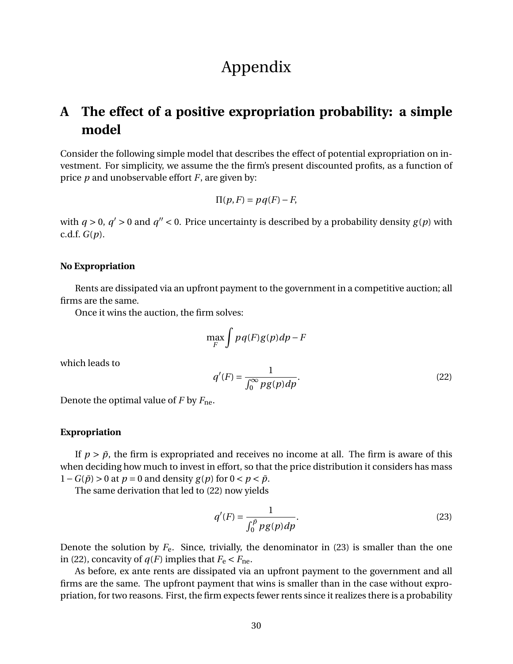# Appendix

# **A The effect of a positive expropriation probability: a simple model**

Consider the following simple model that describes the effect of potential expropriation on investment. For simplicity, we assume the the firm's present discounted profits, as a function of price *p* and unobservable effort *F*, are given by:

$$
\Pi(p, F) = pq(F) - F,
$$

with  $q > 0$ ,  $q' > 0$  and  $q'' < 0$ . Price uncertainty is described by a probability density  $g(p)$  with c.d.f. *G*(*p*).

#### **No Expropriation**

Rents are dissipated via an upfront payment to the government in a competitive auction; all firms are the same.

Once it wins the auction, the firm solves:

$$
\max_{F} \int p q(F) g(p) dp - F
$$

$$
q'(F) = \frac{1}{\int_0^\infty p g(p) dp}.
$$
(22)

Denote the optimal value of *F* by *F*ne.

#### **Expropriation**

which leads to

If  $p > \bar{p}$ , the firm is expropriated and receives no income at all. The firm is aware of this when deciding how much to invest in effort, so that the price distribution it considers has mass  $1-G(\bar{p}) > 0$  at  $p = 0$  and density  $g(p)$  for  $0 < p < \bar{p}$ .

The same derivation that led to (22) now yields

$$
q'(F) = \frac{1}{\int_0^{\bar{p}} p g(p) dp}.
$$
\n(23)

Denote the solution by  $F_e$ . Since, trivially, the denominator in (23) is smaller than the one in (22), concavity of  $q(F)$  implies that  $F_e < F_{ne}$ .

As before, ex ante rents are dissipated via an upfront payment to the government and all firms are the same. The upfront payment that wins is smaller than in the case without expropriation, for two reasons. First, the firm expects fewer rents since it realizes there is a probability